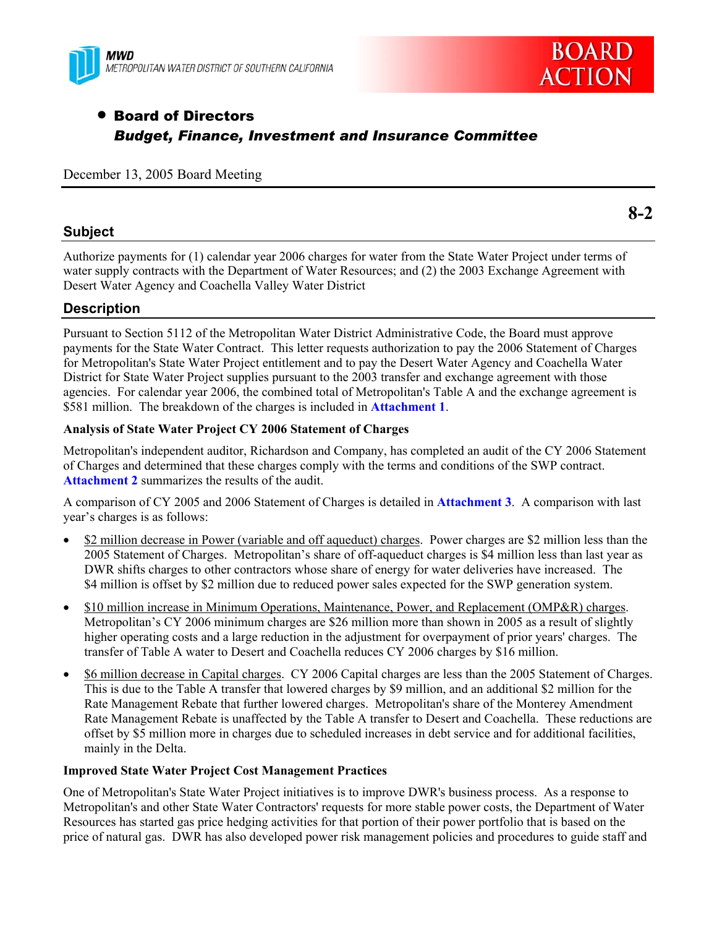



# • Board of Directors *Budget, Finance, Investment and Insurance Committee*

#### December 13, 2005 Board Meeting

### **Subject**

Authorize payments for (1) calendar year 2006 charges for water from the State Water Project under terms of water supply contracts with the Department of Water Resources; and (2) the 2003 Exchange Agreement with Desert Water Agency and Coachella Valley Water District

## **Description**

Pursuant to Section 5112 of the Metropolitan Water District Administrative Code, the Board must approve payments for the State Water Contract. This letter requests authorization to pay the 2006 Statement of Charges for Metropolitan's State Water Project entitlement and to pay the Desert Water Agency and Coachella Water District for State Water Project supplies pursuant to the 2003 transfer and exchange agreement with those agencies. For calendar year 2006, the combined total of Metropolitan's Table A and the exchange agreement is \$581 million. The breakdown of the charges is included in **Attachment 1**.

#### **Analysis of State Water Project CY 2006 Statement of Charges**

Metropolitan's independent auditor, Richardson and Company, has completed an audit of the CY 2006 Statement of Charges and determined that these charges comply with the terms and conditions of the SWP contract. **Attachment 2** summarizes the results of the audit.

A comparison of CY 2005 and 2006 Statement of Charges is detailed in **Attachment 3**. A comparison with last year's charges is as follows:

- \$2 million decrease in Power (variable and off aqueduct) charges. Power charges are \$2 million less than the 2005 Statement of Charges. Metropolitan's share of off-aqueduct charges is \$4 million less than last year as DWR shifts charges to other contractors whose share of energy for water deliveries have increased. The \$4 million is offset by \$2 million due to reduced power sales expected for the SWP generation system.
- \$10 million increase in Minimum Operations, Maintenance, Power, and Replacement (OMP&R) charges. Metropolitan's CY 2006 minimum charges are \$26 million more than shown in 2005 as a result of slightly higher operating costs and a large reduction in the adjustment for overpayment of prior years' charges. The transfer of Table A water to Desert and Coachella reduces CY 2006 charges by \$16 million.
- \$6 million decrease in Capital charges. CY 2006 Capital charges are less than the 2005 Statement of Charges. This is due to the Table A transfer that lowered charges by \$9 million, and an additional \$2 million for the Rate Management Rebate that further lowered charges. Metropolitan's share of the Monterey Amendment Rate Management Rebate is unaffected by the Table A transfer to Desert and Coachella. These reductions are offset by \$5 million more in charges due to scheduled increases in debt service and for additional facilities, mainly in the Delta.

#### **Improved State Water Project Cost Management Practices**

One of Metropolitan's State Water Project initiatives is to improve DWR's business process. As a response to Metropolitan's and other State Water Contractors' requests for more stable power costs, the Department of Water Resources has started gas price hedging activities for that portion of their power portfolio that is based on the price of natural gas. DWR has also developed power risk management policies and procedures to guide staff and

**8-2**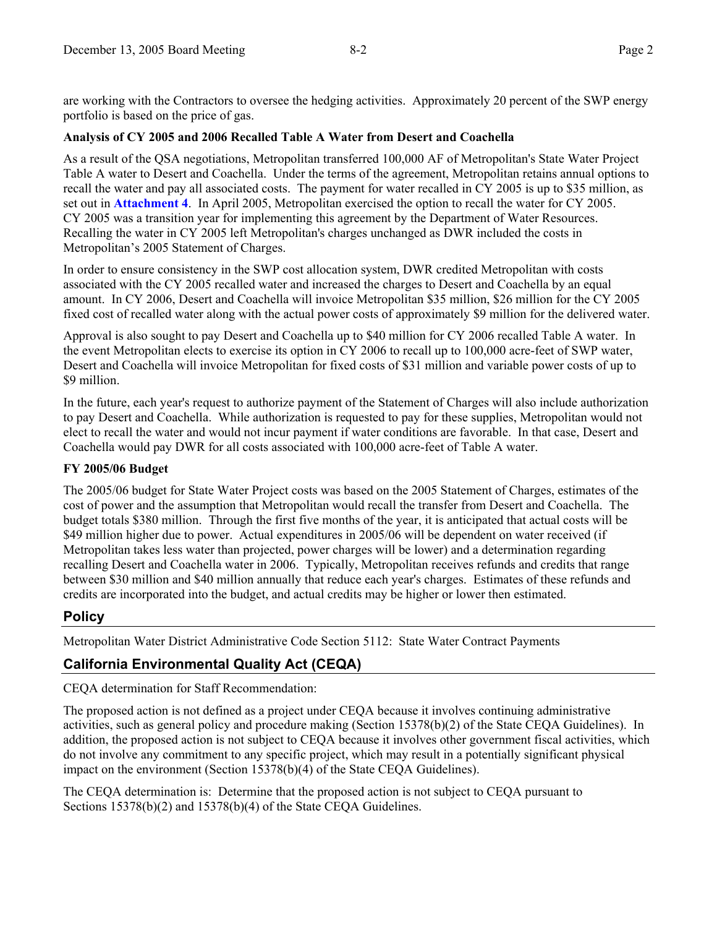are working with the Contractors to oversee the hedging activities. Approximately 20 percent of the SWP energy portfolio is based on the price of gas.

#### **Analysis of CY 2005 and 2006 Recalled Table A Water from Desert and Coachella**

As a result of the QSA negotiations, Metropolitan transferred 100,000 AF of Metropolitan's State Water Project Table A water to Desert and Coachella. Under the terms of the agreement, Metropolitan retains annual options to recall the water and pay all associated costs. The payment for water recalled in CY 2005 is up to \$35 million, as set out in **Attachment 4**. In April 2005, Metropolitan exercised the option to recall the water for CY 2005. CY 2005 was a transition year for implementing this agreement by the Department of Water Resources. Recalling the water in CY 2005 left Metropolitan's charges unchanged as DWR included the costs in Metropolitan's 2005 Statement of Charges.

In order to ensure consistency in the SWP cost allocation system, DWR credited Metropolitan with costs associated with the CY 2005 recalled water and increased the charges to Desert and Coachella by an equal amount. In CY 2006, Desert and Coachella will invoice Metropolitan \$35 million, \$26 million for the CY 2005 fixed cost of recalled water along with the actual power costs of approximately \$9 million for the delivered water.

Approval is also sought to pay Desert and Coachella up to \$40 million for CY 2006 recalled Table A water. In the event Metropolitan elects to exercise its option in CY 2006 to recall up to 100,000 acre-feet of SWP water, Desert and Coachella will invoice Metropolitan for fixed costs of \$31 million and variable power costs of up to \$9 million.

In the future, each year's request to authorize payment of the Statement of Charges will also include authorization to pay Desert and Coachella. While authorization is requested to pay for these supplies, Metropolitan would not elect to recall the water and would not incur payment if water conditions are favorable. In that case, Desert and Coachella would pay DWR for all costs associated with 100,000 acre-feet of Table A water.

#### **FY 2005/06 Budget**

The 2005/06 budget for State Water Project costs was based on the 2005 Statement of Charges, estimates of the cost of power and the assumption that Metropolitan would recall the transfer from Desert and Coachella. The budget totals \$380 million. Through the first five months of the year, it is anticipated that actual costs will be \$49 million higher due to power. Actual expenditures in 2005/06 will be dependent on water received (if Metropolitan takes less water than projected, power charges will be lower) and a determination regarding recalling Desert and Coachella water in 2006. Typically, Metropolitan receives refunds and credits that range between \$30 million and \$40 million annually that reduce each year's charges. Estimates of these refunds and credits are incorporated into the budget, and actual credits may be higher or lower then estimated.

# **Policy**

Metropolitan Water District Administrative Code Section 5112: State Water Contract Payments

# **California Environmental Quality Act (CEQA)**

CEQA determination for Staff Recommendation:

The proposed action is not defined as a project under CEQA because it involves continuing administrative activities, such as general policy and procedure making (Section 15378(b)(2) of the State CEQA Guidelines). In addition, the proposed action is not subject to CEQA because it involves other government fiscal activities, which do not involve any commitment to any specific project, which may result in a potentially significant physical impact on the environment (Section 15378(b)(4) of the State CEQA Guidelines).

The CEQA determination is: Determine that the proposed action is not subject to CEQA pursuant to Sections 15378(b)(2) and 15378(b)(4) of the State CEOA Guidelines.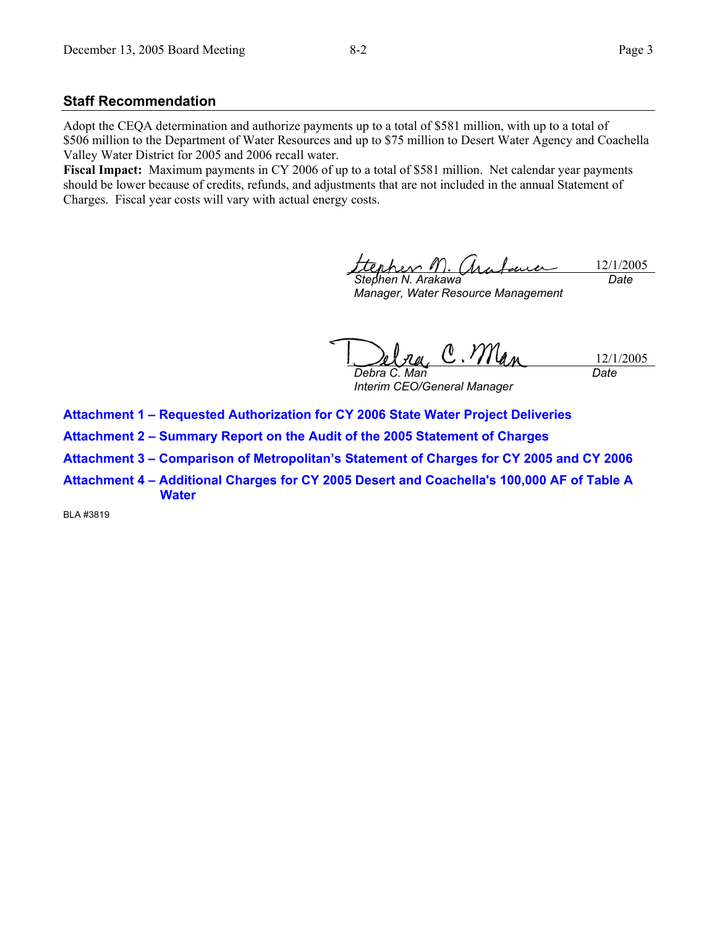#### **Staff Recommendation**

Adopt the CEQA determination and authorize payments up to a total of \$581 million, with up to a total of \$506 million to the Department of Water Resources and up to \$75 million to Desert Water Agency and Coachella Valley Water District for 2005 and 2006 recall water.

**Fiscal Impact:** Maximum payments in CY 2006 of up to a total of \$581 million. Net calendar year payments should be lower because of credits, refunds, and adjustments that are not included in the annual Statement of Charges. Fiscal year costs will vary with actual energy costs.

erher M 12/1/2005  $\Lambda$ *Stephen N. Arakawa Date* 

*Manager, Water Resource Management* 

C. Man 12/1/2005 *Debra C. Man Date* 

*Interim CEO/General Manager* 

**Attachment 1 – Requested Authorization for CY 2006 State Water Project Deliveries** 

**Attachment 2 – Summary Report on the Audit of the 2005 Statement of Charges** 

**Attachment 3 – Comparison of Metropolitan's Statement of Charges for CY 2005 and CY 2006** 

**Attachment 4 – Additional Charges for CY 2005 Desert and Coachella's 100,000 AF of Table A Water** 

BLA #3819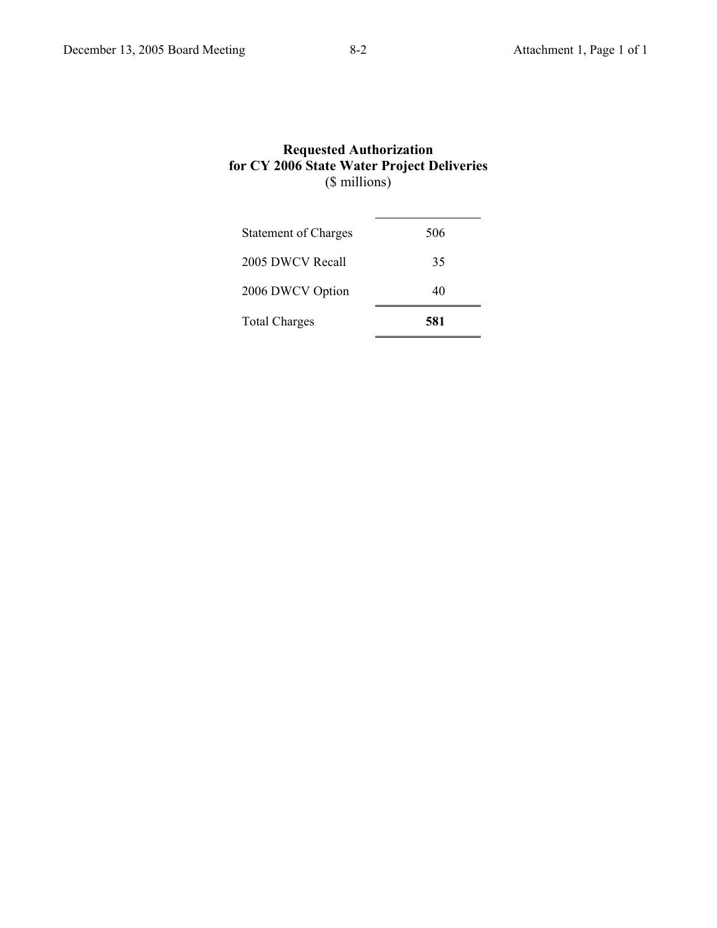### **Requested Authorization for CY 2006 State Water Project Deliveries** (\$ millions)

| <b>Total Charges</b>        | 581 |
|-----------------------------|-----|
| 2006 DWCV Option            | 40  |
| 2005 DWCV Recall            | 35  |
| <b>Statement of Charges</b> | 506 |
|                             |     |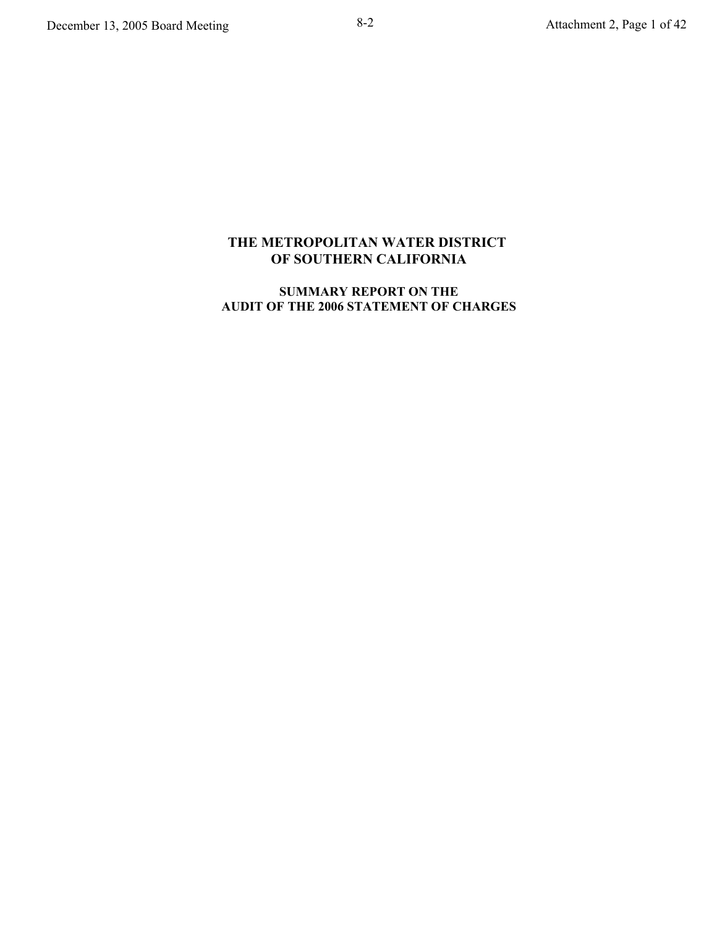# **THE METROPOLITAN WATER DISTRICT OF SOUTHERN CALIFORNIA**

## **SUMMARY REPORT ON THE AUDIT OF THE 2006 STATEMENT OF CHARGES**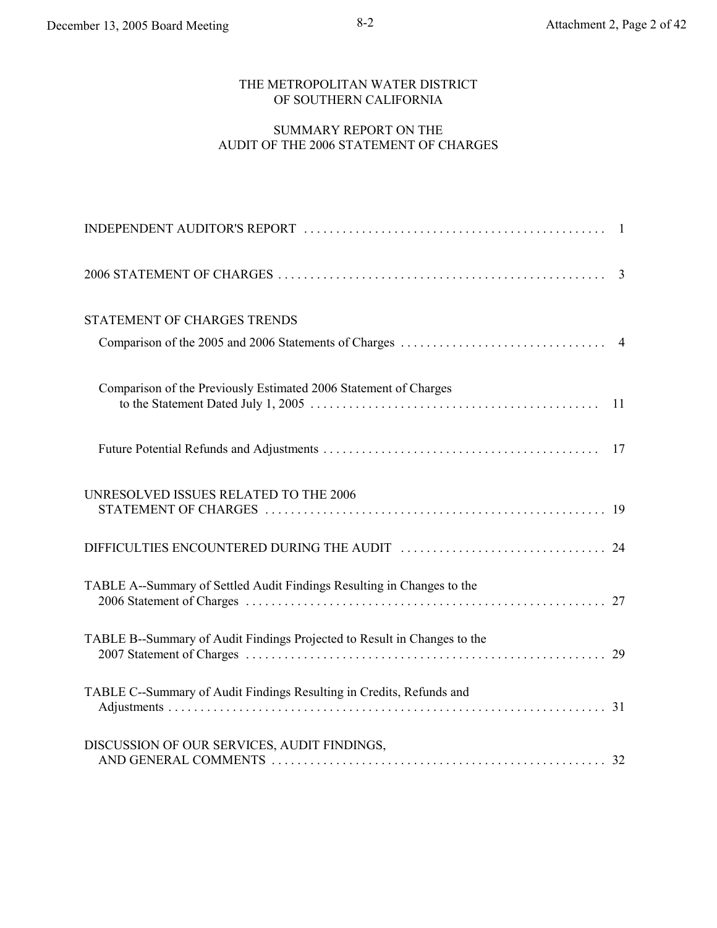### THE METROPOLITAN WATER DISTRICT OF SOUTHERN CALIFORNIA

## SUMMARY REPORT ON THE AUDIT OF THE 2006 STATEMENT OF CHARGES

| STATEMENT OF CHARGES TRENDS                                              |    |
|--------------------------------------------------------------------------|----|
| Comparison of the Previously Estimated 2006 Statement of Charges         | 11 |
|                                                                          |    |
| UNRESOLVED ISSUES RELATED TO THE 2006                                    |    |
|                                                                          |    |
| TABLE A--Summary of Settled Audit Findings Resulting in Changes to the   |    |
| TABLE B--Summary of Audit Findings Projected to Result in Changes to the |    |
| TABLE C--Summary of Audit Findings Resulting in Credits, Refunds and     |    |
| DISCUSSION OF OUR SERVICES, AUDIT FINDINGS,                              |    |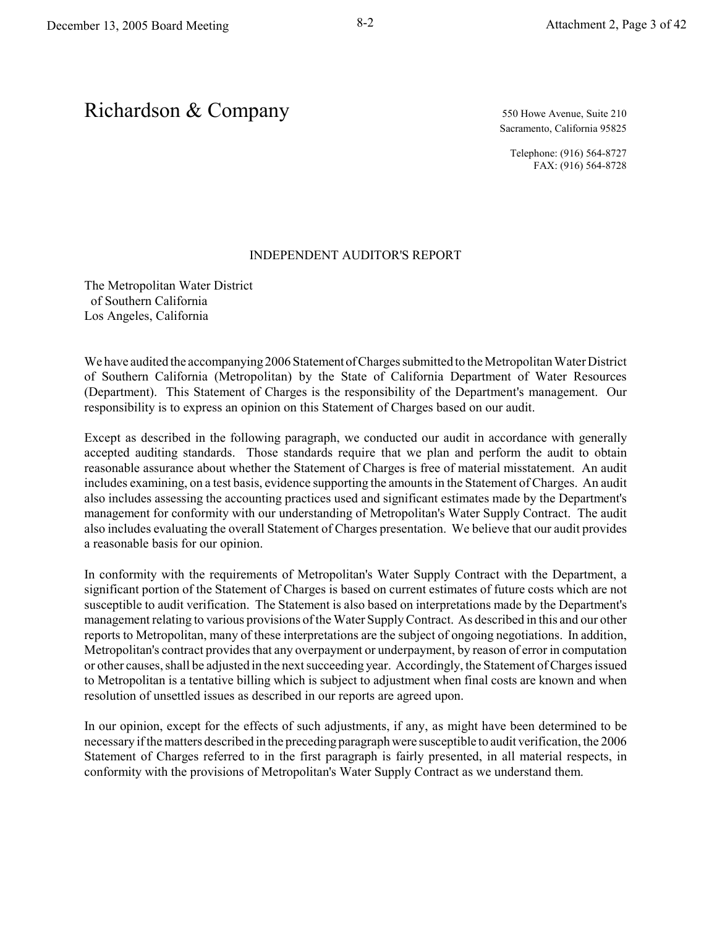Sacramento, California 95825

Telephone: (916) 564-8727 FAX: (916) 564-8728

#### INDEPENDENT AUDITOR'S REPORT

The Metropolitan Water District of Southern California Los Angeles, California

We have audited the accompanying 2006 Statement of Charges submitted to the Metropolitan Water District of Southern California (Metropolitan) by the State of California Department of Water Resources (Department). This Statement of Charges is the responsibility of the Department's management. Our responsibility is to express an opinion on this Statement of Charges based on our audit.

Except as described in the following paragraph, we conducted our audit in accordance with generally accepted auditing standards. Those standards require that we plan and perform the audit to obtain reasonable assurance about whether the Statement of Charges is free of material misstatement. An audit includes examining, on a test basis, evidence supporting the amounts in the Statement of Charges. An audit also includes assessing the accounting practices used and significant estimates made by the Department's management for conformity with our understanding of Metropolitan's Water Supply Contract. The audit also includes evaluating the overall Statement of Charges presentation. We believe that our audit provides a reasonable basis for our opinion.

In conformity with the requirements of Metropolitan's Water Supply Contract with the Department, a significant portion of the Statement of Charges is based on current estimates of future costs which are not susceptible to audit verification. The Statement is also based on interpretations made by the Department's management relating to various provisions of the Water Supply Contract. As described in this and our other reports to Metropolitan, many of these interpretations are the subject of ongoing negotiations. In addition, Metropolitan's contract provides that any overpayment or underpayment, by reason of error in computation or other causes, shall be adjusted in the next succeeding year. Accordingly, the Statement of Charges issued to Metropolitan is a tentative billing which is subject to adjustment when final costs are known and when resolution of unsettled issues as described in our reports are agreed upon.

In our opinion, except for the effects of such adjustments, if any, as might have been determined to be necessary if the matters described in the preceding paragraph were susceptible to audit verification, the 2006 Statement of Charges referred to in the first paragraph is fairly presented, in all material respects, in conformity with the provisions of Metropolitan's Water Supply Contract as we understand them.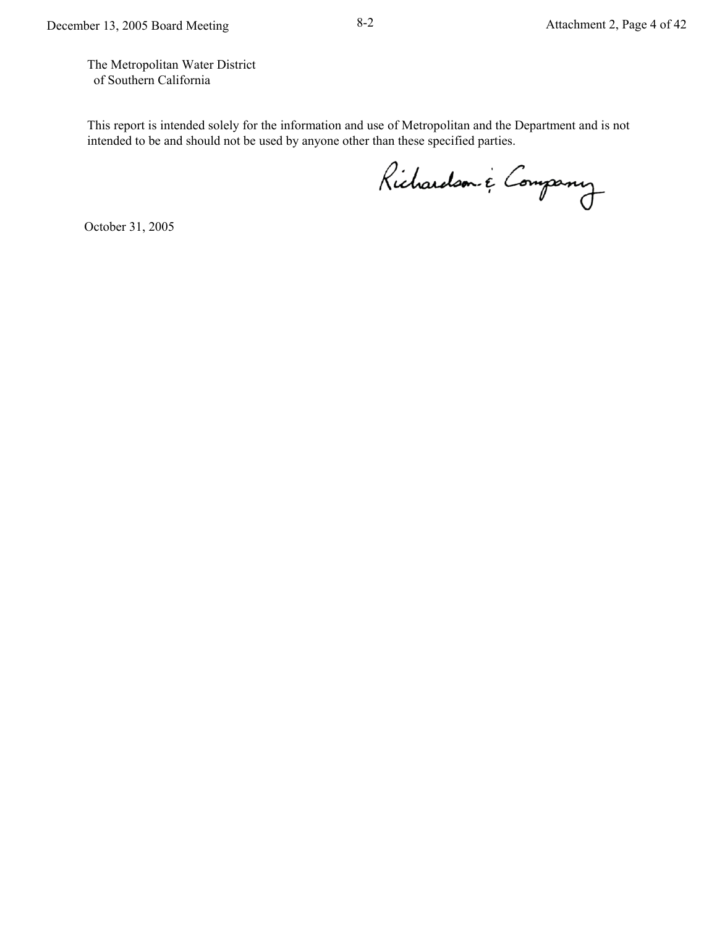The Metropolitan Water District of Southern California

This report is intended solely for the information and use of Metropolitan and the Department and is not intended to be and should not be used by anyone other than these specified parties.

Richardson & Company

October 31, 2005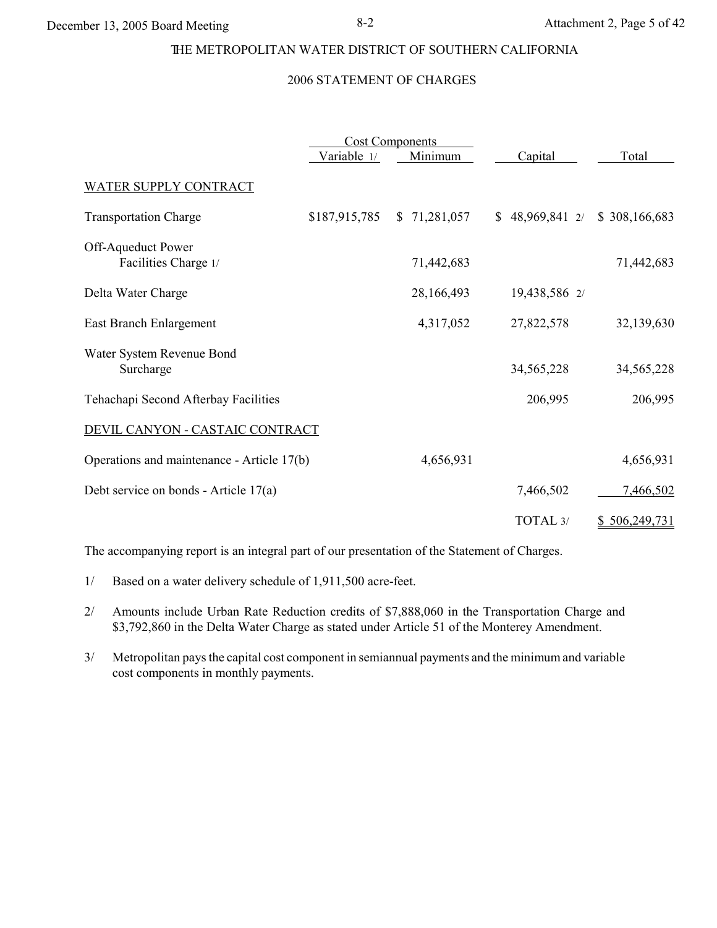#### THE METROPOLITAN WATER DISTRICT OF SOUTHERN CALIFORNIA

#### 2006 STATEMENT OF CHARGES

|                                            | <b>Cost Components</b> |                  |               |               |
|--------------------------------------------|------------------------|------------------|---------------|---------------|
|                                            | Variable 1/            | Minimum          | Capital       | Total         |
| WATER SUPPLY CONTRACT                      |                        |                  |               |               |
| <b>Transportation Charge</b>               | \$187,915,785          | 71,281,057<br>S. | \$48,969,8412 | \$308,166,683 |
| Off-Aqueduct Power<br>Facilities Charge 1/ |                        | 71,442,683       |               | 71,442,683    |
| Delta Water Charge                         |                        | 28,166,493       | 19,438,586 2/ |               |
| East Branch Enlargement                    |                        | 4,317,052        | 27,822,578    | 32,139,630    |
| Water System Revenue Bond<br>Surcharge     |                        |                  | 34,565,228    | 34, 565, 228  |
| Tehachapi Second Afterbay Facilities       |                        |                  | 206,995       | 206,995       |
| DEVIL CANYON - CASTAIC CONTRACT            |                        |                  |               |               |
| Operations and maintenance - Article 17(b) |                        | 4,656,931        |               | 4,656,931     |
| Debt service on bonds - Article 17(a)      |                        |                  | 7,466,502     | 7,466,502     |
|                                            |                        |                  | TOTAL 3/      | \$506,249,731 |

The accompanying report is an integral part of our presentation of the Statement of Charges.

- 1/ Based on a water delivery schedule of 1,911,500 acre-feet.
- 2/ Amounts include Urban Rate Reduction credits of \$7,888,060 in the Transportation Charge and \$3,792,860 in the Delta Water Charge as stated under Article 51 of the Monterey Amendment.
- 3/ Metropolitan pays the capital cost component in semiannual payments and the minimum and variable cost components in monthly payments.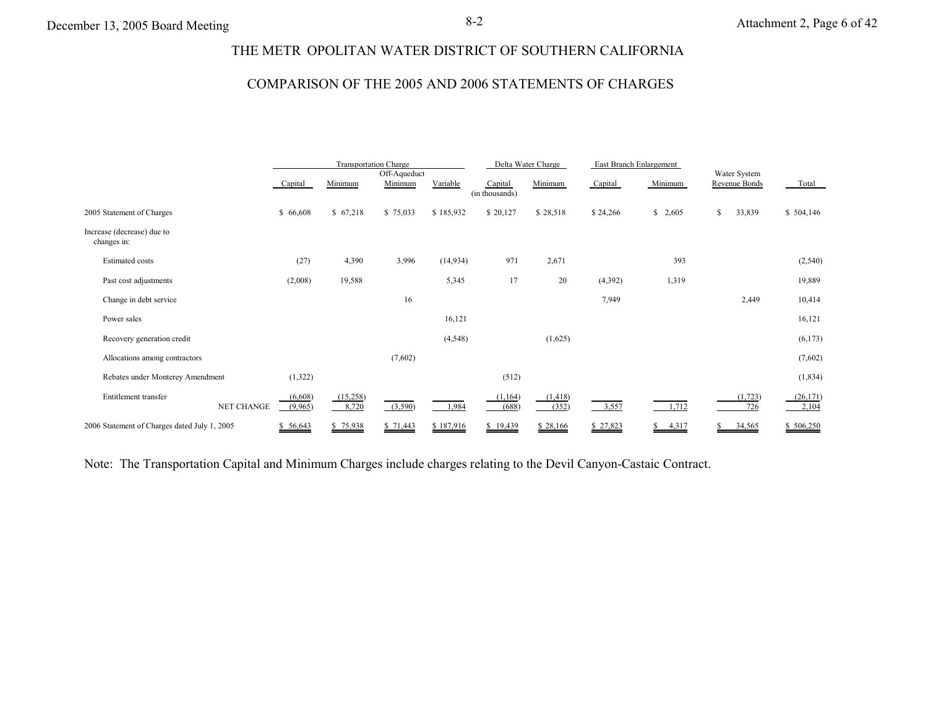# THE METR OPOLITAN WATER DISTRICT OF SOUTHERN CALIFORNIA

## COMPARISON OF THE 2005 AND 2006 STATEMENTS OF CHARGES

|                                              |                    |                   | <b>Transportation Charge</b> |           |                           | Delta Water Charge |          | East Branch Enlargement |                               |                    |
|----------------------------------------------|--------------------|-------------------|------------------------------|-----------|---------------------------|--------------------|----------|-------------------------|-------------------------------|--------------------|
|                                              | Capital            | Minimum           | Off-Aqueduct<br>Minimum      | Variable  | Capital<br>(in thousands) | Minimum            | Capital  | Minimum                 | Water System<br>Revenue Bonds | Total              |
| 2005 Statement of Charges                    | \$66,608           | \$67,218          | \$75,033                     | \$185,932 | \$20,127                  | \$28,518           | \$24,266 | \$2,605                 | $\mathbb{S}$<br>33,839        | \$504,146          |
| Increase (decrease) due to<br>changes in:    |                    |                   |                              |           |                           |                    |          |                         |                               |                    |
| <b>Estimated costs</b>                       | (27)               | 4,390             | 3,996                        | (14, 934) | 971                       | 2,671              |          | 393                     |                               | (2, 540)           |
| Past cost adjustments                        | (2,008)            | 19,588            |                              | 5,345     | 17                        | 20                 | (4,392)  | 1,319                   |                               | 19,889             |
| Change in debt service                       |                    |                   | 16                           |           |                           |                    | 7,949    |                         | 2,449                         | 10,414             |
| Power sales                                  |                    |                   |                              | 16,121    |                           |                    |          |                         |                               | 16,121             |
| Recovery generation credit                   |                    |                   |                              | (4, 548)  |                           | (1,625)            |          |                         |                               | (6,173)            |
| Allocations among contractors                |                    |                   | (7,602)                      |           |                           |                    |          |                         |                               | (7,602)            |
| Rebates under Monterey Amendment             | (1,322)            |                   |                              |           | (512)                     |                    |          |                         |                               | (1, 834)           |
| Entitlement transfer<br><b>NET CHANGE</b>    | (6,608)<br>(9,965) | (15,258)<br>8,720 | (3,590)                      | 1,984     | (1,164)<br>(688)          | (1, 418)<br>(352)  | 3,557    | 1,712                   | (1, 723)<br>726               | (26, 171)<br>2,104 |
| 2006 Statement of Charges dated July 1, 2005 | \$56,643           | \$75,938          | \$71,443                     | \$187,916 | \$19,439                  | \$28,166           | \$27,823 | 4,317<br>S              | 34,565<br>S                   | \$506,250          |

Note: The Transportation Capital and Minimum Charges include charges relating to the Devil Canyon-Castaic Contract.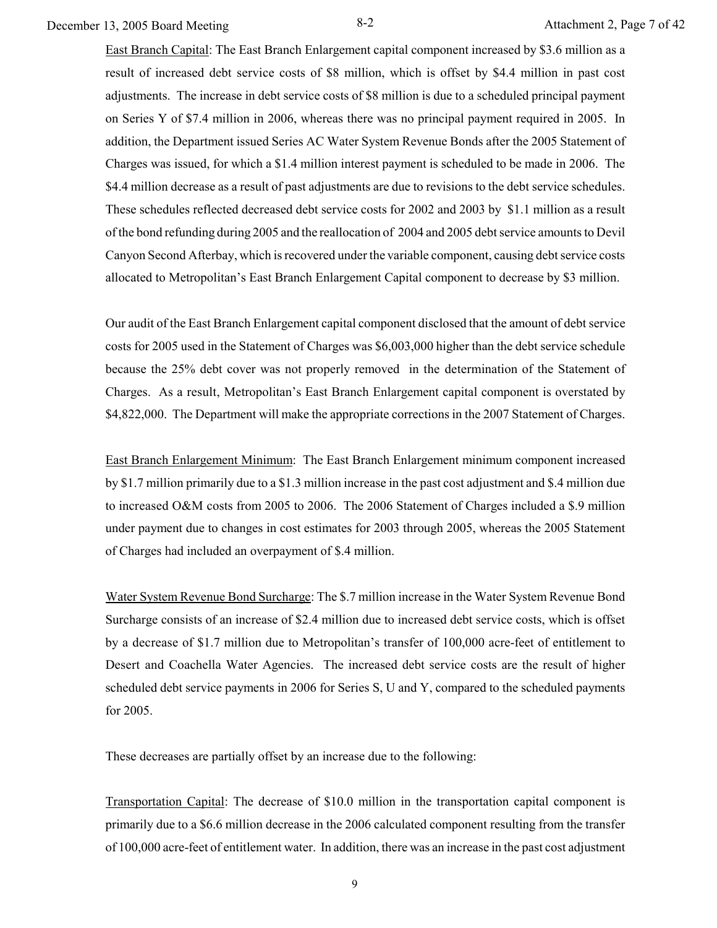December 13, 2005 Board Meeting 8-2 Attachment 2, Page 7 of 42

East Branch Capital: The East Branch Enlargement capital component increased by \$3.6 million as a result of increased debt service costs of \$8 million, which is offset by \$4.4 million in past cost adjustments. The increase in debt service costs of \$8 million is due to a scheduled principal payment on Series Y of \$7.4 million in 2006, whereas there was no principal payment required in 2005. In addition, the Department issued Series AC Water System Revenue Bonds after the 2005 Statement of Charges was issued, for which a \$1.4 million interest payment is scheduled to be made in 2006. The \$4.4 million decrease as a result of past adjustments are due to revisions to the debt service schedules. These schedules reflected decreased debt service costs for 2002 and 2003 by \$1.1 million as a result of the bond refunding during 2005 and the reallocation of 2004 and 2005 debt service amounts to Devil Canyon Second Afterbay, which is recovered under the variable component, causing debt service costs allocated to Metropolitan's East Branch Enlargement Capital component to decrease by \$3 million.

Our audit of the East Branch Enlargement capital component disclosed that the amount of debt service costs for 2005 used in the Statement of Charges was \$6,003,000 higher than the debt service schedule because the 25% debt cover was not properly removed in the determination of the Statement of Charges. As a result, Metropolitan's East Branch Enlargement capital component is overstated by \$4,822,000. The Department will make the appropriate corrections in the 2007 Statement of Charges.

East Branch Enlargement Minimum: The East Branch Enlargement minimum component increased by \$1.7 million primarily due to a \$1.3 million increase in the past cost adjustment and \$.4 million due to increased O&M costs from 2005 to 2006. The 2006 Statement of Charges included a \$.9 million under payment due to changes in cost estimates for 2003 through 2005, whereas the 2005 Statement of Charges had included an overpayment of \$.4 million.

Water System Revenue Bond Surcharge: The \$.7 million increase in the Water System Revenue Bond Surcharge consists of an increase of \$2.4 million due to increased debt service costs, which is offset by a decrease of \$1.7 million due to Metropolitan's transfer of 100,000 acre-feet of entitlement to Desert and Coachella Water Agencies. The increased debt service costs are the result of higher scheduled debt service payments in 2006 for Series S, U and Y, compared to the scheduled payments for 2005.

These decreases are partially offset by an increase due to the following:

Transportation Capital: The decrease of \$10.0 million in the transportation capital component is primarily due to a \$6.6 million decrease in the 2006 calculated component resulting from the transfer of 100,000 acre-feet of entitlement water. In addition, there was an increase in the past cost adjustment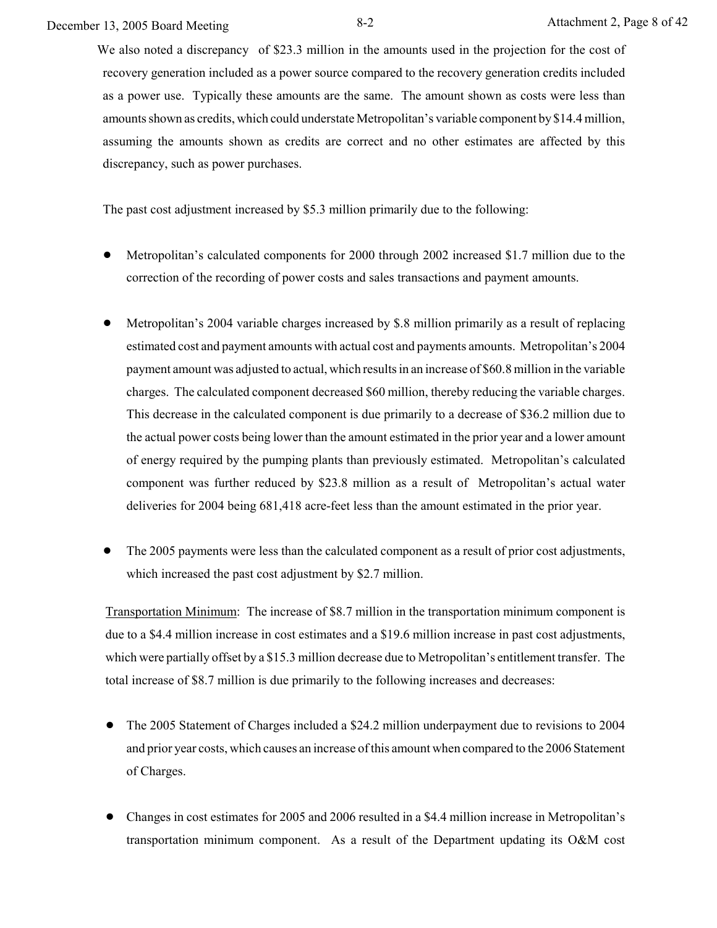We also noted a discrepancy of \$23.3 million in the amounts used in the projection for the cost of recovery generation included as a power source compared to the recovery generation credits included as a power use. Typically these amounts are the same. The amount shown as costs were less than amounts shown as credits, which could understate Metropolitan's variable component by \$14.4 million, assuming the amounts shown as credits are correct and no other estimates are affected by this discrepancy, such as power purchases.

The past cost adjustment increased by \$5.3 million primarily due to the following:

- ! Metropolitan's calculated components for 2000 through 2002 increased \$1.7 million due to the correction of the recording of power costs and sales transactions and payment amounts.
- ! Metropolitan's 2004 variable charges increased by \$.8 million primarily as a result of replacing estimated cost and payment amounts with actual cost and payments amounts. Metropolitan's 2004 payment amount was adjusted to actual, which results in an increase of \$60.8 million in the variable charges. The calculated component decreased \$60 million, thereby reducing the variable charges. This decrease in the calculated component is due primarily to a decrease of \$36.2 million due to the actual power costs being lower than the amount estimated in the prior year and a lower amount of energy required by the pumping plants than previously estimated. Metropolitan's calculated component was further reduced by \$23.8 million as a result of Metropolitan's actual water deliveries for 2004 being 681,418 acre-feet less than the amount estimated in the prior year.
- ! The 2005 payments were less than the calculated component as a result of prior cost adjustments, which increased the past cost adjustment by \$2.7 million.

Transportation Minimum: The increase of \$8.7 million in the transportation minimum component is due to a \$4.4 million increase in cost estimates and a \$19.6 million increase in past cost adjustments, which were partially offset by a \$15.3 million decrease due to Metropolitan's entitlement transfer. The total increase of \$8.7 million is due primarily to the following increases and decreases:

- The 2005 Statement of Charges included a \$24.2 million underpayment due to revisions to 2004 and prior year costs, which causes an increase of this amount when compared to the 2006 Statement of Charges.
- Changes in cost estimates for 2005 and 2006 resulted in a \$4.4 million increase in Metropolitan's transportation minimum component. As a result of the Department updating its O&M cost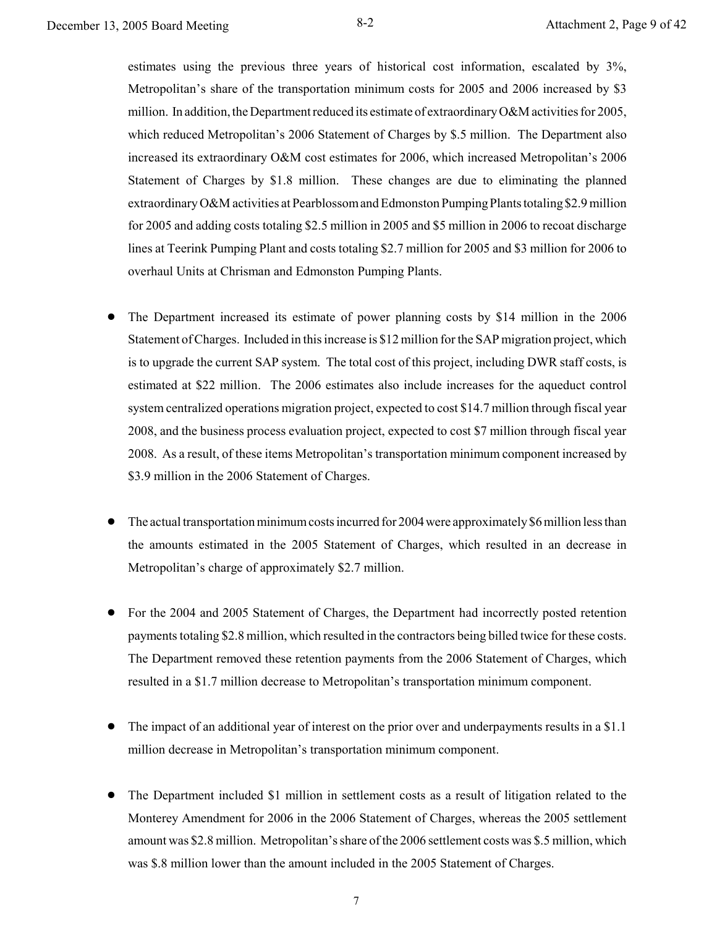estimates using the previous three years of historical cost information, escalated by 3%, Metropolitan's share of the transportation minimum costs for 2005 and 2006 increased by \$3 million. In addition, the Department reduced its estimate of extraordinary O&M activities for 2005, which reduced Metropolitan's 2006 Statement of Charges by \$.5 million. The Department also increased its extraordinary O&M cost estimates for 2006, which increased Metropolitan's 2006 Statement of Charges by \$1.8 million. These changes are due to eliminating the planned extraordinary O&M activities at Pearblossom and Edmonston Pumping Plants totaling \$2.9 million for 2005 and adding costs totaling \$2.5 million in 2005 and \$5 million in 2006 to recoat discharge lines at Teerink Pumping Plant and costs totaling \$2.7 million for 2005 and \$3 million for 2006 to overhaul Units at Chrisman and Edmonston Pumping Plants.

- ! The Department increased its estimate of power planning costs by \$14 million in the 2006 Statement of Charges. Included in this increase is \$12 million for the SAP migration project, which is to upgrade the current SAP system. The total cost of this project, including DWR staff costs, is estimated at \$22 million. The 2006 estimates also include increases for the aqueduct control system centralized operations migration project, expected to cost \$14.7 million through fiscal year 2008, and the business process evaluation project, expected to cost \$7 million through fiscal year 2008. As a result, of these items Metropolitan's transportation minimum component increased by \$3.9 million in the 2006 Statement of Charges.
- The actual transportation minimum costs incurred for 2004 were approximately \$6 million less than the amounts estimated in the 2005 Statement of Charges, which resulted in an decrease in Metropolitan's charge of approximately \$2.7 million.
- For the 2004 and 2005 Statement of Charges, the Department had incorrectly posted retention payments totaling \$2.8 million, which resulted in the contractors being billed twice for these costs. The Department removed these retention payments from the 2006 Statement of Charges, which resulted in a \$1.7 million decrease to Metropolitan's transportation minimum component.
- ! The impact of an additional year of interest on the prior over and underpayments results in a \$1.1 million decrease in Metropolitan's transportation minimum component.
- The Department included \$1 million in settlement costs as a result of litigation related to the Monterey Amendment for 2006 in the 2006 Statement of Charges, whereas the 2005 settlement amount was \$2.8 million. Metropolitan's share of the 2006 settlement costs was \$.5 million, which was \$.8 million lower than the amount included in the 2005 Statement of Charges.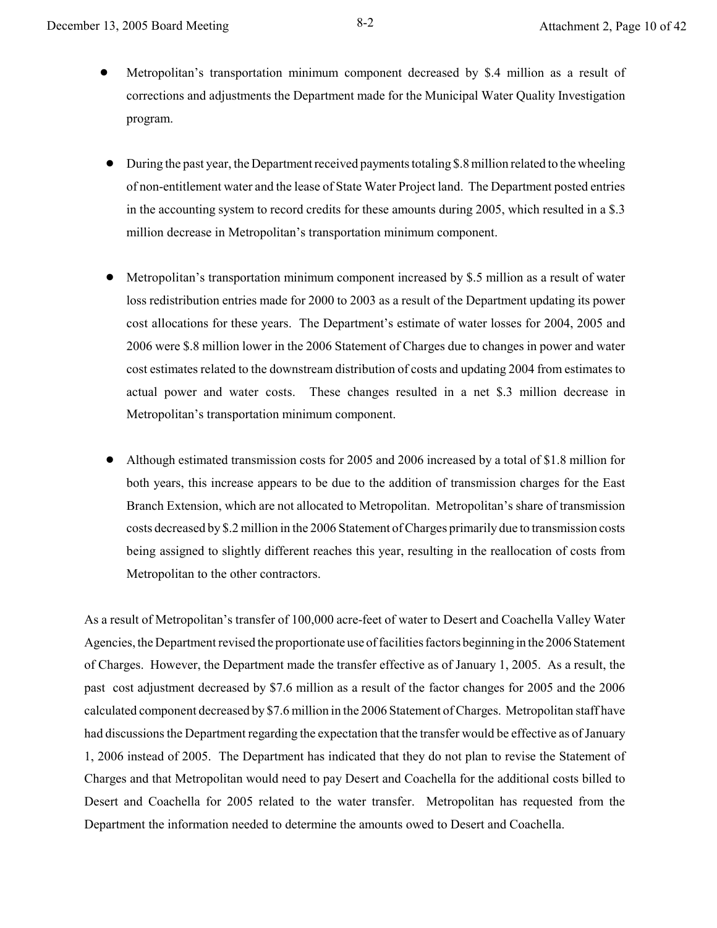- ! Metropolitan's transportation minimum component decreased by \$.4 million as a result of corrections and adjustments the Department made for the Municipal Water Quality Investigation program.
- $\bullet$  During the past year, the Department received payments totaling \$.8 million related to the wheeling of non-entitlement water and the lease of State Water Project land. The Department posted entries in the accounting system to record credits for these amounts during 2005, which resulted in a \$.3 million decrease in Metropolitan's transportation minimum component.
- ! Metropolitan's transportation minimum component increased by \$.5 million as a result of water loss redistribution entries made for 2000 to 2003 as a result of the Department updating its power cost allocations for these years. The Department's estimate of water losses for 2004, 2005 and 2006 were \$.8 million lower in the 2006 Statement of Charges due to changes in power and water cost estimates related to the downstream distribution of costs and updating 2004 from estimates to actual power and water costs. These changes resulted in a net \$.3 million decrease in Metropolitan's transportation minimum component.
- ! Although estimated transmission costs for 2005 and 2006 increased by a total of \$1.8 million for both years, this increase appears to be due to the addition of transmission charges for the East Branch Extension, which are not allocated to Metropolitan. Metropolitan's share of transmission costs decreased by \$.2 million in the 2006 Statement of Charges primarily due to transmission costs being assigned to slightly different reaches this year, resulting in the reallocation of costs from Metropolitan to the other contractors.

As a result of Metropolitan's transfer of 100,000 acre-feet of water to Desert and Coachella Valley Water Agencies, the Department revised the proportionate use of facilities factors beginning in the 2006 Statement of Charges. However, the Department made the transfer effective as of January 1, 2005. As a result, the past cost adjustment decreased by \$7.6 million as a result of the factor changes for 2005 and the 2006 calculated component decreased by \$7.6 million in the 2006 Statement of Charges. Metropolitan staff have had discussions the Department regarding the expectation that the transfer would be effective as of January 1, 2006 instead of 2005. The Department has indicated that they do not plan to revise the Statement of Charges and that Metropolitan would need to pay Desert and Coachella for the additional costs billed to Desert and Coachella for 2005 related to the water transfer. Metropolitan has requested from the Department the information needed to determine the amounts owed to Desert and Coachella.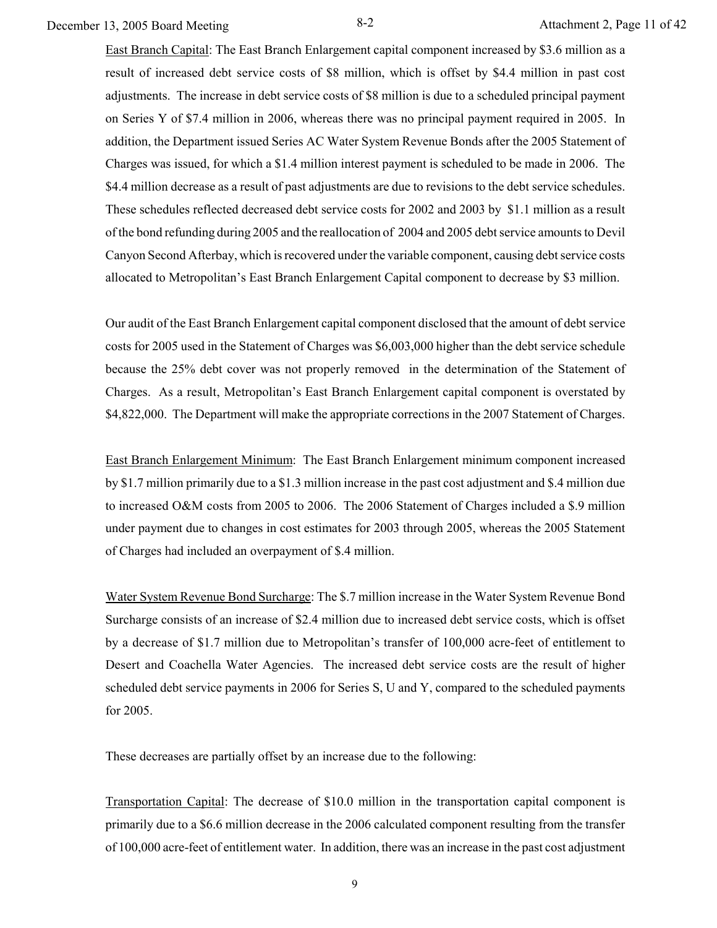December 13, 2005 Board Meeting 8-2 Attachment 2, Page 11 of 42

East Branch Capital: The East Branch Enlargement capital component increased by \$3.6 million as a result of increased debt service costs of \$8 million, which is offset by \$4.4 million in past cost adjustments. The increase in debt service costs of \$8 million is due to a scheduled principal payment on Series Y of \$7.4 million in 2006, whereas there was no principal payment required in 2005. In addition, the Department issued Series AC Water System Revenue Bonds after the 2005 Statement of Charges was issued, for which a \$1.4 million interest payment is scheduled to be made in 2006. The \$4.4 million decrease as a result of past adjustments are due to revisions to the debt service schedules. These schedules reflected decreased debt service costs for 2002 and 2003 by \$1.1 million as a result of the bond refunding during 2005 and the reallocation of 2004 and 2005 debt service amounts to Devil Canyon Second Afterbay, which is recovered under the variable component, causing debt service costs allocated to Metropolitan's East Branch Enlargement Capital component to decrease by \$3 million.

Our audit of the East Branch Enlargement capital component disclosed that the amount of debt service costs for 2005 used in the Statement of Charges was \$6,003,000 higher than the debt service schedule because the 25% debt cover was not properly removed in the determination of the Statement of Charges. As a result, Metropolitan's East Branch Enlargement capital component is overstated by \$4,822,000. The Department will make the appropriate corrections in the 2007 Statement of Charges.

East Branch Enlargement Minimum: The East Branch Enlargement minimum component increased by \$1.7 million primarily due to a \$1.3 million increase in the past cost adjustment and \$.4 million due to increased O&M costs from 2005 to 2006. The 2006 Statement of Charges included a \$.9 million under payment due to changes in cost estimates for 2003 through 2005, whereas the 2005 Statement of Charges had included an overpayment of \$.4 million.

Water System Revenue Bond Surcharge: The \$.7 million increase in the Water System Revenue Bond Surcharge consists of an increase of \$2.4 million due to increased debt service costs, which is offset by a decrease of \$1.7 million due to Metropolitan's transfer of 100,000 acre-feet of entitlement to Desert and Coachella Water Agencies. The increased debt service costs are the result of higher scheduled debt service payments in 2006 for Series S, U and Y, compared to the scheduled payments for 2005.

These decreases are partially offset by an increase due to the following:

Transportation Capital: The decrease of \$10.0 million in the transportation capital component is primarily due to a \$6.6 million decrease in the 2006 calculated component resulting from the transfer of 100,000 acre-feet of entitlement water. In addition, there was an increase in the past cost adjustment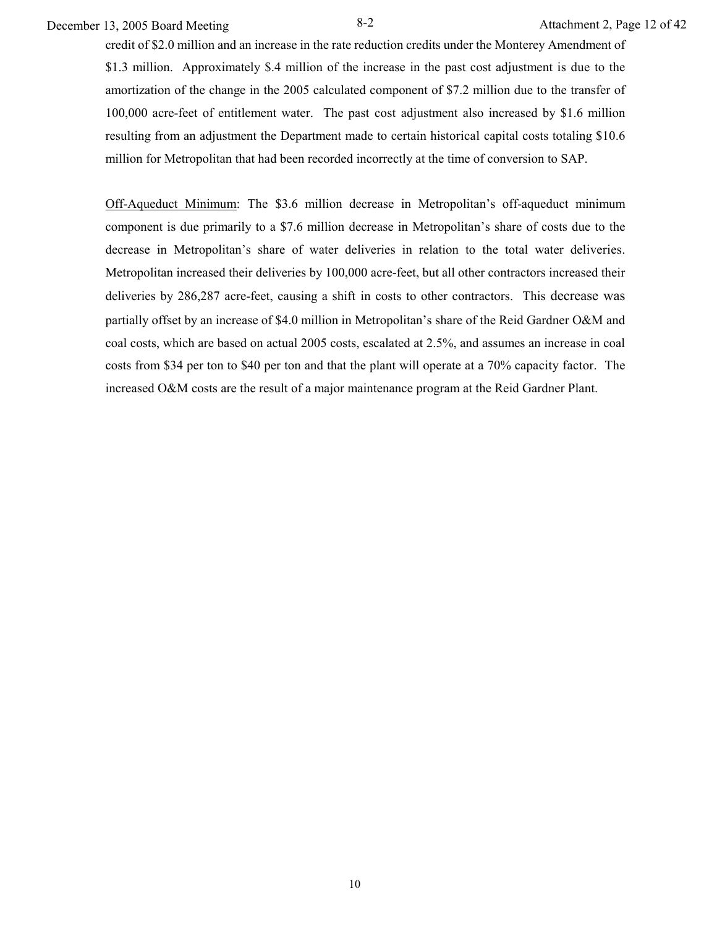December 13, 2005 Board Meeting 8-2 Attachment 2, Page 12 of 42

credit of \$2.0 million and an increase in the rate reduction credits under the Monterey Amendment of \$1.3 million. Approximately \$.4 million of the increase in the past cost adjustment is due to the amortization of the change in the 2005 calculated component of \$7.2 million due to the transfer of 100,000 acre-feet of entitlement water. The past cost adjustment also increased by \$1.6 million resulting from an adjustment the Department made to certain historical capital costs totaling \$10.6 million for Metropolitan that had been recorded incorrectly at the time of conversion to SAP.

Off-Aqueduct Minimum: The \$3.6 million decrease in Metropolitan's off-aqueduct minimum component is due primarily to a \$7.6 million decrease in Metropolitan's share of costs due to the decrease in Metropolitan's share of water deliveries in relation to the total water deliveries. Metropolitan increased their deliveries by 100,000 acre-feet, but all other contractors increased their deliveries by 286,287 acre-feet, causing a shift in costs to other contractors. This decrease was partially offset by an increase of \$4.0 million in Metropolitan's share of the Reid Gardner O&M and coal costs, which are based on actual 2005 costs, escalated at 2.5%, and assumes an increase in coal costs from \$34 per ton to \$40 per ton and that the plant will operate at a 70% capacity factor. The increased O&M costs are the result of a major maintenance program at the Reid Gardner Plant.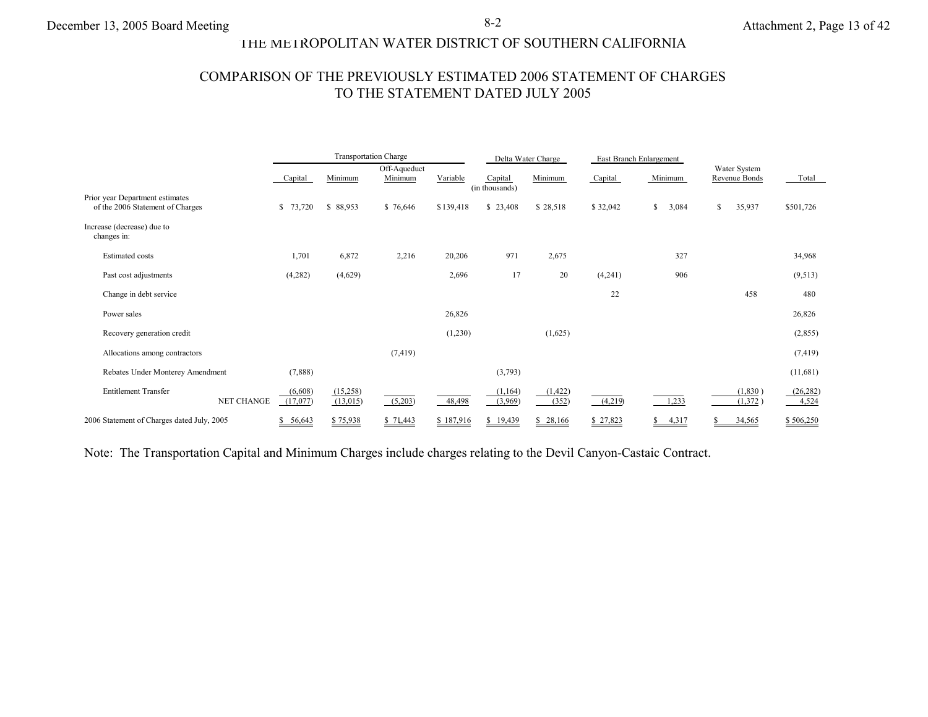# THE METROPOLITAN WATER DISTRICT OF SOUTHERN CALIFORNIA

# COMPARISON OF THE PREVIOUSLY ESTIMATED 2006 STATEMENT OF CHARGES TO THE STATEMENT DATED JULY 2005

|                                                                     |                     |                      | <b>Transportation Charge</b> |           |                           | Delta Water Charge |          | East Branch Enlargement |                               |                    |
|---------------------------------------------------------------------|---------------------|----------------------|------------------------------|-----------|---------------------------|--------------------|----------|-------------------------|-------------------------------|--------------------|
|                                                                     | Capital             | Minimum              | Off-Aqueduct<br>Minimum      | Variable  | Capital<br>(in thousands) | Minimum            | Capital  | Minimum                 | Water System<br>Revenue Bonds | Total              |
| Prior year Department estimates<br>of the 2006 Statement of Charges | \$73,720            | \$ 88,953            | \$76,646                     | \$139,418 | \$23,408                  | \$28,518           | \$32,042 | \$<br>3,084             | \$<br>35,937                  | \$501,726          |
| Increase (decrease) due to<br>changes in:                           |                     |                      |                              |           |                           |                    |          |                         |                               |                    |
| <b>Estimated costs</b>                                              | 1,701               | 6,872                | 2,216                        | 20,206    | 971                       | 2,675              |          | 327                     |                               | 34,968             |
| Past cost adjustments                                               | (4,282)             | (4,629)              |                              | 2,696     | 17                        | 20                 | (4,241)  | 906                     |                               | (9,513)            |
| Change in debt service                                              |                     |                      |                              |           |                           |                    | 22       |                         | 458                           | 480                |
| Power sales                                                         |                     |                      |                              | 26,826    |                           |                    |          |                         |                               | 26,826             |
| Recovery generation credit                                          |                     |                      |                              | (1,230)   |                           | (1,625)            |          |                         |                               | (2,855)            |
| Allocations among contractors                                       |                     |                      | (7, 419)                     |           |                           |                    |          |                         |                               | (7, 419)           |
| Rebates Under Monterey Amendment                                    | (7,888)             |                      |                              |           | (3,793)                   |                    |          |                         |                               | (11,681)           |
| <b>Entitlement Transfer</b><br><b>NET CHANGE</b>                    | (6,608)<br>(17,077) | (15,258)<br>(13,015) | (5,203)                      | 48,498    | (1, 164)<br>(3,969)       | (1, 422)<br>(352)  | (4,219)  | 1,233                   | (1, 830)<br>(1,372)           | (26, 282)<br>4,524 |
| 2006 Statement of Charges dated July, 2005                          | 56,643              | \$75,938             | \$71,443                     | \$187,916 | \$19,439                  | 28,166<br>S        | \$27,823 | 4,317                   | 34,565                        | \$506,250          |

Note: The Transportation Capital and Minimum Charges include charges relating to the Devil Canyon-Castaic Contract.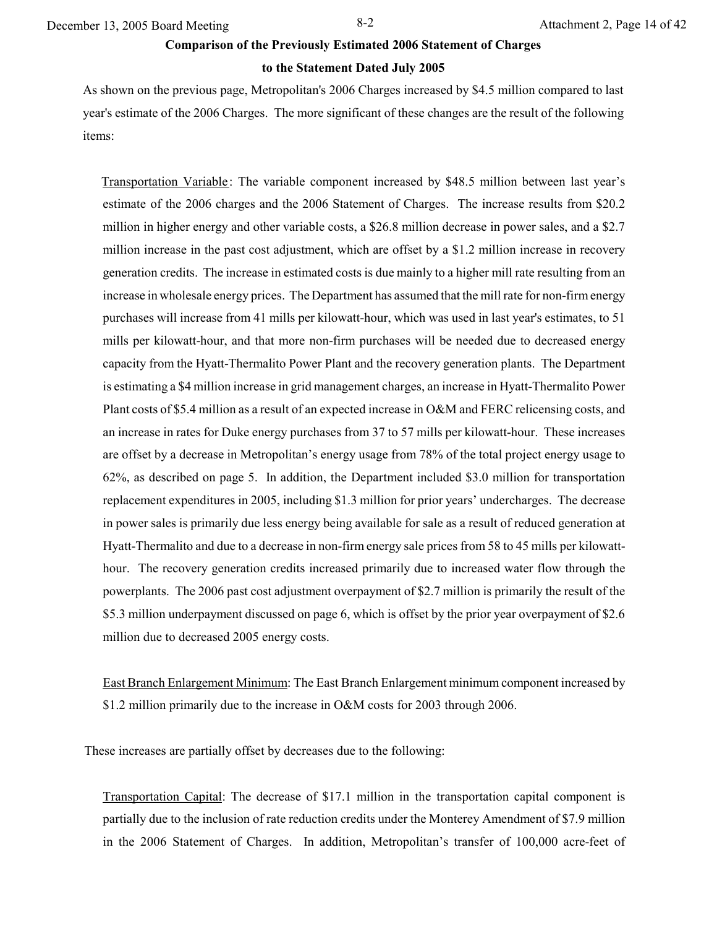December 13, 2005 Board Meeting 8-2 Attachment 2, Page 14 of 42

#### **Comparison of the Previously Estimated 2006 Statement of Charges**

#### **to the Statement Dated July 2005**

As shown on the previous page, Metropolitan's 2006 Charges increased by \$4.5 million compared to last year's estimate of the 2006 Charges. The more significant of these changes are the result of the following items:

Transportation Variable: The variable component increased by \$48.5 million between last year's estimate of the 2006 charges and the 2006 Statement of Charges. The increase results from \$20.2 million in higher energy and other variable costs, a \$26.8 million decrease in power sales, and a \$2.7 million increase in the past cost adjustment, which are offset by a \$1.2 million increase in recovery generation credits. The increase in estimated costs is due mainly to a higher mill rate resulting from an increase in wholesale energy prices. The Department has assumed that the mill rate for non-firm energy purchases will increase from 41 mills per kilowatt-hour, which was used in last year's estimates, to 51 mills per kilowatt-hour, and that more non-firm purchases will be needed due to decreased energy capacity from the Hyatt-Thermalito Power Plant and the recovery generation plants. The Department is estimating a \$4 million increase in grid management charges, an increase in Hyatt-Thermalito Power Plant costs of \$5.4 million as a result of an expected increase in O&M and FERC relicensing costs, and an increase in rates for Duke energy purchases from 37 to 57 mills per kilowatt-hour. These increases are offset by a decrease in Metropolitan's energy usage from 78% of the total project energy usage to 62%, as described on page 5. In addition, the Department included \$3.0 million for transportation replacement expenditures in 2005, including \$1.3 million for prior years' undercharges. The decrease in power sales is primarily due less energy being available for sale as a result of reduced generation at Hyatt-Thermalito and due to a decrease in non-firm energy sale prices from 58 to 45 mills per kilowatthour. The recovery generation credits increased primarily due to increased water flow through the powerplants. The 2006 past cost adjustment overpayment of \$2.7 million is primarily the result of the \$5.3 million underpayment discussed on page 6, which is offset by the prior year overpayment of \$2.6 million due to decreased 2005 energy costs.

East Branch Enlargement Minimum: The East Branch Enlargement minimum component increased by \$1.2 million primarily due to the increase in O&M costs for 2003 through 2006.

These increases are partially offset by decreases due to the following:

Transportation Capital: The decrease of \$17.1 million in the transportation capital component is partially due to the inclusion of rate reduction credits under the Monterey Amendment of \$7.9 million in the 2006 Statement of Charges. In addition, Metropolitan's transfer of 100,000 acre-feet of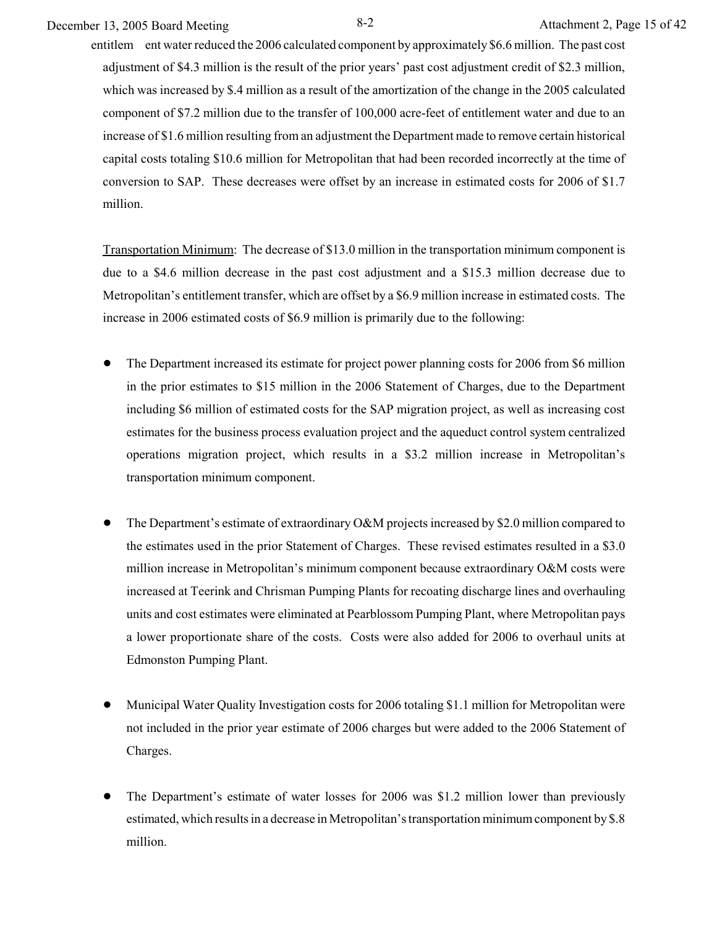December 13, 2005 Board Meeting 8-2 Attachment 2, Page 15 of 42

entitlem ent water reduced the 2006 calculated component by approximately \$6.6 million. The past cost adjustment of \$4.3 million is the result of the prior years' past cost adjustment credit of \$2.3 million, which was increased by \$.4 million as a result of the amortization of the change in the 2005 calculated component of \$7.2 million due to the transfer of 100,000 acre-feet of entitlement water and due to an increase of \$1.6 million resulting from an adjustment the Department made to remove certain historical capital costs totaling \$10.6 million for Metropolitan that had been recorded incorrectly at the time of conversion to SAP. These decreases were offset by an increase in estimated costs for 2006 of \$1.7 million.

Transportation Minimum: The decrease of \$13.0 million in the transportation minimum component is due to a \$4.6 million decrease in the past cost adjustment and a \$15.3 million decrease due to Metropolitan's entitlement transfer, which are offset by a \$6.9 million increase in estimated costs. The increase in 2006 estimated costs of \$6.9 million is primarily due to the following:

- ! The Department increased its estimate for project power planning costs for 2006 from \$6 million in the prior estimates to \$15 million in the 2006 Statement of Charges, due to the Department including \$6 million of estimated costs for the SAP migration project, as well as increasing cost estimates for the business process evaluation project and the aqueduct control system centralized operations migration project, which results in a \$3.2 million increase in Metropolitan's transportation minimum component.
- ! The Department's estimate of extraordinary O&M projects increased by \$2.0 million compared to the estimates used in the prior Statement of Charges. These revised estimates resulted in a \$3.0 million increase in Metropolitan's minimum component because extraordinary O&M costs were increased at Teerink and Chrisman Pumping Plants for recoating discharge lines and overhauling units and cost estimates were eliminated at Pearblossom Pumping Plant, where Metropolitan pays a lower proportionate share of the costs. Costs were also added for 2006 to overhaul units at Edmonston Pumping Plant.
- ! Municipal Water Quality Investigation costs for 2006 totaling \$1.1 million for Metropolitan were not included in the prior year estimate of 2006 charges but were added to the 2006 Statement of Charges.
- ! The Department's estimate of water losses for 2006 was \$1.2 million lower than previously estimated, which results in a decrease in Metropolitan's transportation minimum component by \$.8 million.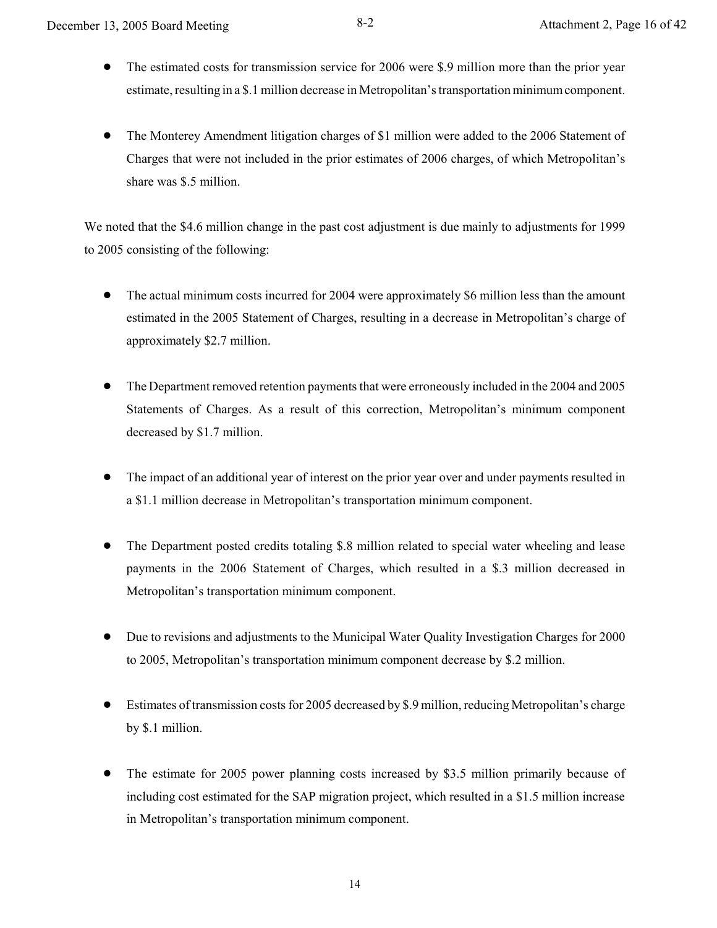- ! The estimated costs for transmission service for 2006 were \$.9 million more than the prior year estimate, resulting in a \$.1 million decrease in Metropolitan's transportation minimum component.
- ! The Monterey Amendment litigation charges of \$1 million were added to the 2006 Statement of Charges that were not included in the prior estimates of 2006 charges, of which Metropolitan's share was \$.5 million.

We noted that the \$4.6 million change in the past cost adjustment is due mainly to adjustments for 1999 to 2005 consisting of the following:

- The actual minimum costs incurred for 2004 were approximately \$6 million less than the amount estimated in the 2005 Statement of Charges, resulting in a decrease in Metropolitan's charge of approximately \$2.7 million.
- ! The Department removed retention payments that were erroneously included in the 2004 and 2005 Statements of Charges. As a result of this correction, Metropolitan's minimum component decreased by \$1.7 million.
- The impact of an additional year of interest on the prior year over and under payments resulted in a \$1.1 million decrease in Metropolitan's transportation minimum component.
- ! The Department posted credits totaling \$.8 million related to special water wheeling and lease payments in the 2006 Statement of Charges, which resulted in a \$.3 million decreased in Metropolitan's transportation minimum component.
- ! Due to revisions and adjustments to the Municipal Water Quality Investigation Charges for 2000 to 2005, Metropolitan's transportation minimum component decrease by \$.2 million.
- ! Estimates of transmission costs for 2005 decreased by \$.9 million, reducing Metropolitan's charge by \$.1 million.
- ! The estimate for 2005 power planning costs increased by \$3.5 million primarily because of including cost estimated for the SAP migration project, which resulted in a \$1.5 million increase in Metropolitan's transportation minimum component.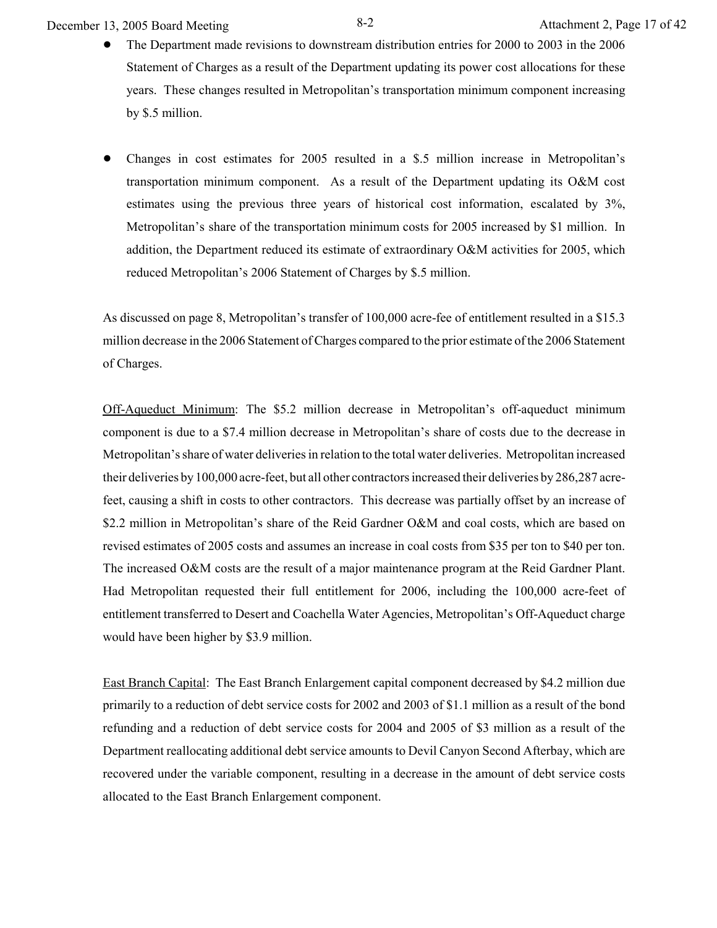December 13, 2005 Board Meeting 8-2 Attachment 2, Page 17 of 42

- ! The Department made revisions to downstream distribution entries for 2000 to 2003 in the 2006 Statement of Charges as a result of the Department updating its power cost allocations for these years. These changes resulted in Metropolitan's transportation minimum component increasing by \$.5 million.
- ! Changes in cost estimates for 2005 resulted in a \$.5 million increase in Metropolitan's transportation minimum component. As a result of the Department updating its O&M cost estimates using the previous three years of historical cost information, escalated by 3%, Metropolitan's share of the transportation minimum costs for 2005 increased by \$1 million. In addition, the Department reduced its estimate of extraordinary O&M activities for 2005, which reduced Metropolitan's 2006 Statement of Charges by \$.5 million.

As discussed on page 8, Metropolitan's transfer of 100,000 acre-fee of entitlement resulted in a \$15.3 million decrease in the 2006 Statement of Charges compared to the prior estimate of the 2006 Statement of Charges.

Off-Aqueduct Minimum: The \$5.2 million decrease in Metropolitan's off-aqueduct minimum component is due to a \$7.4 million decrease in Metropolitan's share of costs due to the decrease in Metropolitan's share of water deliveries in relation to the total water deliveries. Metropolitan increased their deliveries by 100,000 acre-feet, but all other contractors increased their deliveries by 286,287 acrefeet, causing a shift in costs to other contractors. This decrease was partially offset by an increase of \$2.2 million in Metropolitan's share of the Reid Gardner O&M and coal costs, which are based on revised estimates of 2005 costs and assumes an increase in coal costs from \$35 per ton to \$40 per ton. The increased O&M costs are the result of a major maintenance program at the Reid Gardner Plant. Had Metropolitan requested their full entitlement for 2006, including the 100,000 acre-feet of entitlement transferred to Desert and Coachella Water Agencies, Metropolitan's Off-Aqueduct charge would have been higher by \$3.9 million.

East Branch Capital: The East Branch Enlargement capital component decreased by \$4.2 million due primarily to a reduction of debt service costs for 2002 and 2003 of \$1.1 million as a result of the bond refunding and a reduction of debt service costs for 2004 and 2005 of \$3 million as a result of the Department reallocating additional debt service amounts to Devil Canyon Second Afterbay, which are recovered under the variable component, resulting in a decrease in the amount of debt service costs allocated to the East Branch Enlargement component.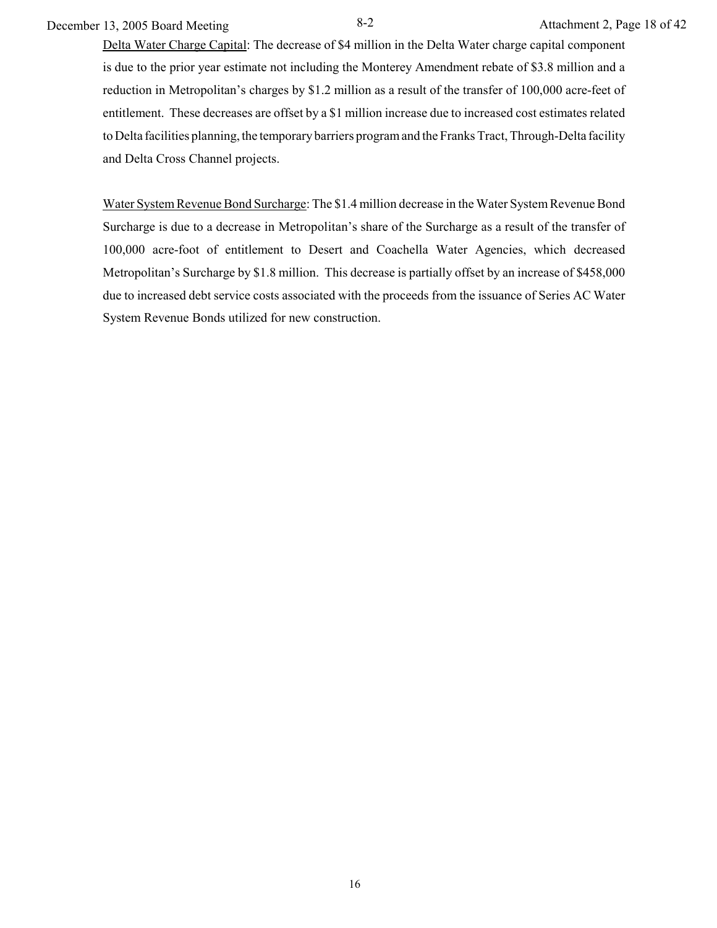December 13, 2005 Board Meeting 8-2 Attachment 2, Page 18 of 42

Delta Water Charge Capital: The decrease of \$4 million in the Delta Water charge capital component is due to the prior year estimate not including the Monterey Amendment rebate of \$3.8 million and a reduction in Metropolitan's charges by \$1.2 million as a result of the transfer of 100,000 acre-feet of entitlement. These decreases are offset by a \$1 million increase due to increased cost estimates related to Delta facilities planning, the temporary barriers program and the Franks Tract, Through-Delta facility and Delta Cross Channel projects.

Water System Revenue Bond Surcharge: The \$1.4 million decrease in the Water System Revenue Bond Surcharge is due to a decrease in Metropolitan's share of the Surcharge as a result of the transfer of 100,000 acre-foot of entitlement to Desert and Coachella Water Agencies, which decreased Metropolitan's Surcharge by \$1.8 million. This decrease is partially offset by an increase of \$458,000 due to increased debt service costs associated with the proceeds from the issuance of Series AC Water System Revenue Bonds utilized for new construction.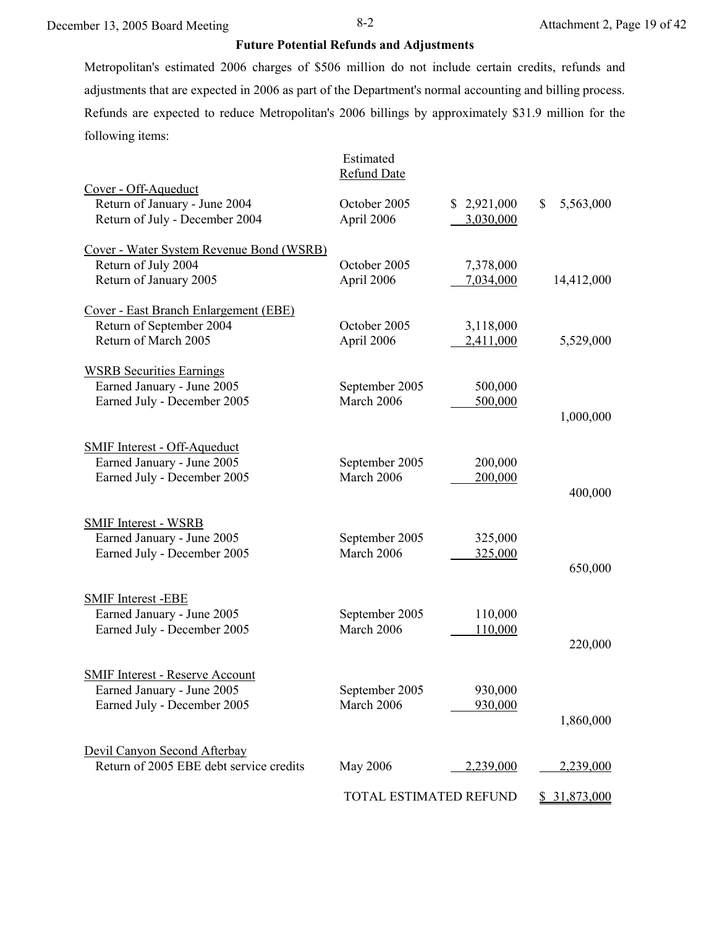# **Future Potential Refunds and Adjustments**

Metropolitan's estimated 2006 charges of \$506 million do not include certain credits, refunds and adjustments that are expected in 2006 as part of the Department's normal accounting and billing process. Refunds are expected to reduce Metropolitan's 2006 billings by approximately \$31.9 million for the following items:

|                                          | Estimated<br><b>Refund Date</b> |             |                 |
|------------------------------------------|---------------------------------|-------------|-----------------|
| Cover - Off-Aqueduct                     |                                 |             |                 |
| Return of January - June 2004            | October 2005                    | \$2,921,000 | 5,563,000<br>\$ |
| Return of July - December 2004           | April 2006                      | 3,030,000   |                 |
| Cover - Water System Revenue Bond (WSRB) |                                 |             |                 |
| Return of July 2004                      | October 2005                    | 7,378,000   |                 |
| Return of January 2005                   | April 2006                      | 7,034,000   | 14,412,000      |
| Cover - East Branch Enlargement (EBE)    |                                 |             |                 |
| Return of September 2004                 | October 2005                    | 3,118,000   |                 |
| Return of March 2005                     | April 2006                      | 2,411,000   | 5,529,000       |
| <b>WSRB Securities Earnings</b>          |                                 |             |                 |
| Earned January - June 2005               | September 2005                  | 500,000     |                 |
| Earned July - December 2005              | March 2006                      | 500,000     |                 |
|                                          |                                 |             | 1,000,000       |
| <b>SMIF Interest - Off-Aqueduct</b>      |                                 |             |                 |
| Earned January - June 2005               | September 2005                  | 200,000     |                 |
| Earned July - December 2005              | March 2006                      | 200,000     |                 |
|                                          |                                 |             | 400,000         |
| <b>SMIF Interest - WSRB</b>              |                                 |             |                 |
| Earned January - June 2005               | September 2005                  | 325,000     |                 |
| Earned July - December 2005              | March 2006                      | 325,000     |                 |
|                                          |                                 |             | 650,000         |
| <b>SMIF Interest-EBE</b>                 |                                 |             |                 |
| Earned January - June 2005               | September 2005                  | 110,000     |                 |
| Earned July - December 2005              | March 2006                      | 110,000     |                 |
|                                          |                                 |             | 220,000         |
| <b>SMIF Interest - Reserve Account</b>   |                                 |             |                 |
| Earned January - June 2005               | September 2005                  | 930,000     |                 |
| Earned July - December 2005              | March 2006                      | 930,000     |                 |
|                                          |                                 |             | 1,860,000       |
| Devil Canyon Second Afterbay             |                                 |             |                 |
| Return of 2005 EBE debt service credits  | May 2006                        | 2,239,000   | 2,239,000       |
|                                          | TOTAL ESTIMATED REFUND          |             | \$31,873,000    |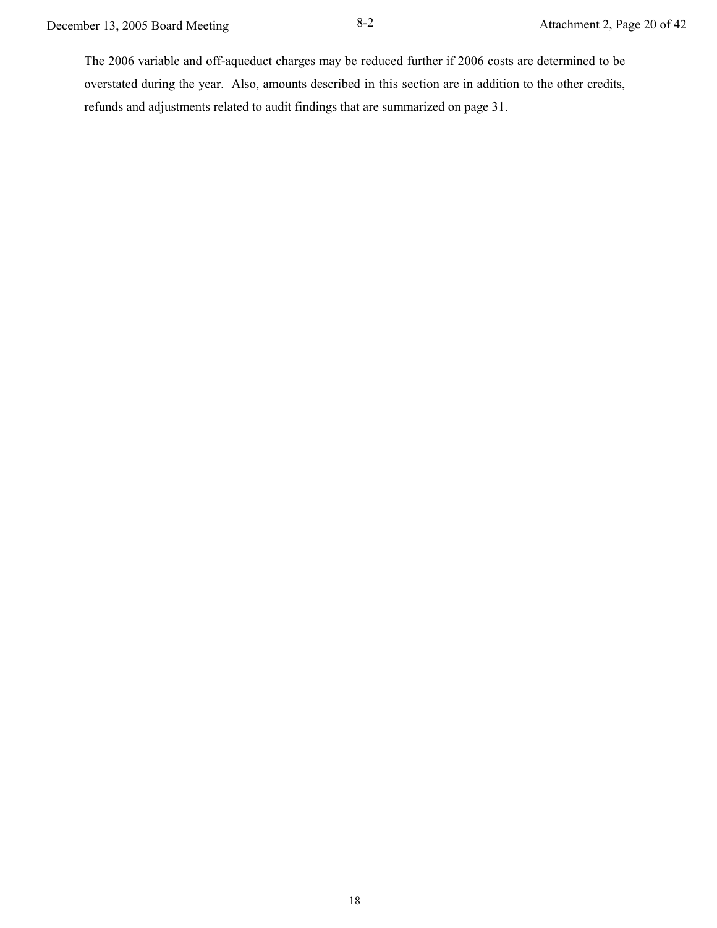The 2006 variable and off-aqueduct charges may be reduced further if 2006 costs are determined to be overstated during the year. Also, amounts described in this section are in addition to the other credits, refunds and adjustments related to audit findings that are summarized on page 31.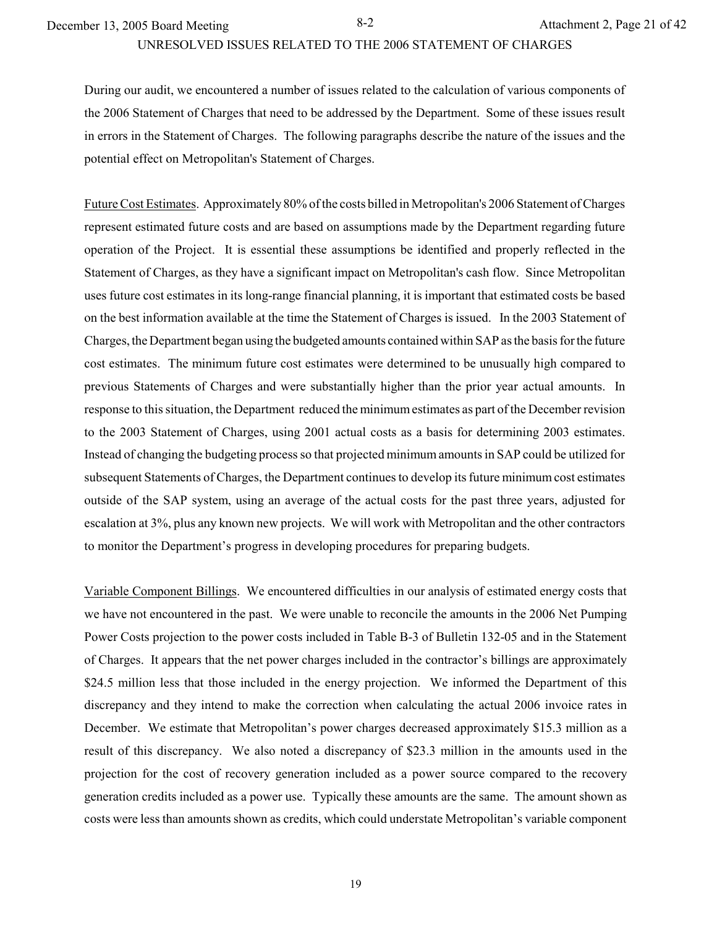UNRESOLVED ISSUES RELATED TO THE 2006 STATEMENT OF CHARGES

During our audit, we encountered a number of issues related to the calculation of various components of the 2006 Statement of Charges that need to be addressed by the Department. Some of these issues result in errors in the Statement of Charges. The following paragraphs describe the nature of the issues and the potential effect on Metropolitan's Statement of Charges.

Future Cost Estimates. Approximately 80% of the costs billed in Metropolitan's 2006 Statement of Charges represent estimated future costs and are based on assumptions made by the Department regarding future operation of the Project. It is essential these assumptions be identified and properly reflected in the Statement of Charges, as they have a significant impact on Metropolitan's cash flow. Since Metropolitan uses future cost estimates in its long-range financial planning, it is important that estimated costs be based on the best information available at the time the Statement of Charges is issued. In the 2003 Statement of Charges, the Department began using the budgeted amounts contained within SAP as the basis for the future cost estimates. The minimum future cost estimates were determined to be unusually high compared to previous Statements of Charges and were substantially higher than the prior year actual amounts. In response to this situation, the Department reduced the minimum estimates as part of the December revision to the 2003 Statement of Charges, using 2001 actual costs as a basis for determining 2003 estimates. Instead of changing the budgeting process so that projected minimum amounts in SAP could be utilized for subsequent Statements of Charges, the Department continues to develop its future minimum cost estimates outside of the SAP system, using an average of the actual costs for the past three years, adjusted for escalation at 3%, plus any known new projects. We will work with Metropolitan and the other contractors to monitor the Department's progress in developing procedures for preparing budgets.

Variable Component Billings. We encountered difficulties in our analysis of estimated energy costs that we have not encountered in the past. We were unable to reconcile the amounts in the 2006 Net Pumping Power Costs projection to the power costs included in Table B-3 of Bulletin 132-05 and in the Statement of Charges. It appears that the net power charges included in the contractor's billings are approximately \$24.5 million less that those included in the energy projection. We informed the Department of this discrepancy and they intend to make the correction when calculating the actual 2006 invoice rates in December. We estimate that Metropolitan's power charges decreased approximately \$15.3 million as a result of this discrepancy. We also noted a discrepancy of \$23.3 million in the amounts used in the projection for the cost of recovery generation included as a power source compared to the recovery generation credits included as a power use. Typically these amounts are the same. The amount shown as costs were less than amounts shown as credits, which could understate Metropolitan's variable component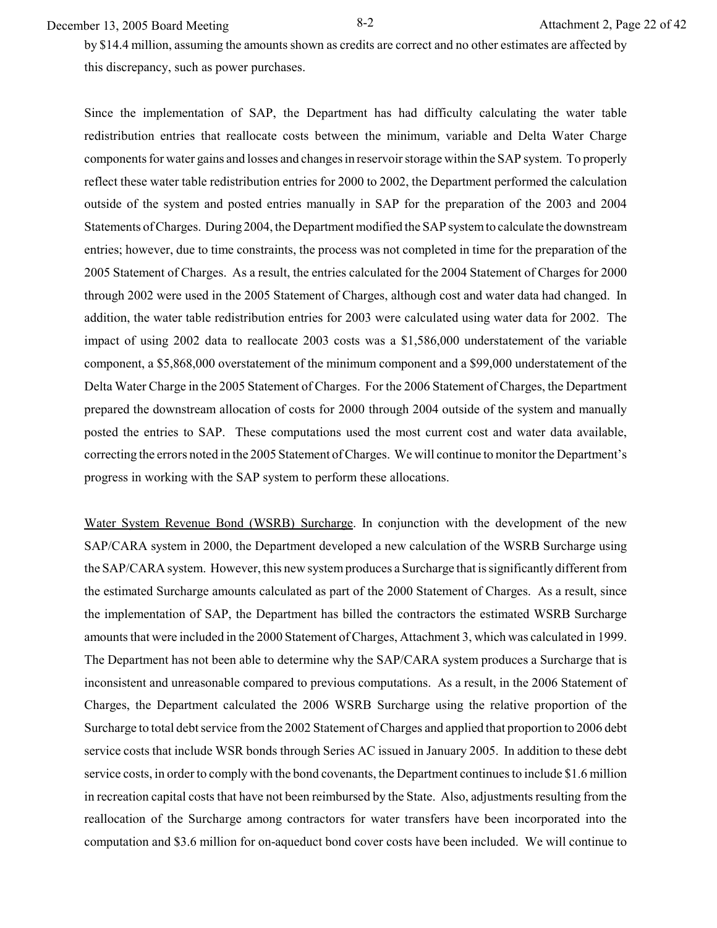December 13, 2005 Board Meeting 8-2 Attachment 2, Page 22 of 42

by \$14.4 million, assuming the amounts shown as credits are correct and no other estimates are affected by this discrepancy, such as power purchases.

Since the implementation of SAP, the Department has had difficulty calculating the water table redistribution entries that reallocate costs between the minimum, variable and Delta Water Charge components for water gains and losses and changes in reservoir storage within the SAP system. To properly reflect these water table redistribution entries for 2000 to 2002, the Department performed the calculation outside of the system and posted entries manually in SAP for the preparation of the 2003 and 2004 Statements of Charges. During 2004, the Department modified the SAP system to calculate the downstream entries; however, due to time constraints, the process was not completed in time for the preparation of the 2005 Statement of Charges. As a result, the entries calculated for the 2004 Statement of Charges for 2000 through 2002 were used in the 2005 Statement of Charges, although cost and water data had changed. In addition, the water table redistribution entries for 2003 were calculated using water data for 2002. The impact of using 2002 data to reallocate 2003 costs was a \$1,586,000 understatement of the variable component, a \$5,868,000 overstatement of the minimum component and a \$99,000 understatement of the Delta Water Charge in the 2005 Statement of Charges. For the 2006 Statement of Charges, the Department prepared the downstream allocation of costs for 2000 through 2004 outside of the system and manually posted the entries to SAP. These computations used the most current cost and water data available, correcting the errors noted in the 2005 Statement of Charges. We will continue to monitor the Department's progress in working with the SAP system to perform these allocations.

Water System Revenue Bond (WSRB) Surcharge. In conjunction with the development of the new SAP/CARA system in 2000, the Department developed a new calculation of the WSRB Surcharge using the SAP/CARA system. However, this new system produces a Surcharge that is significantly different from the estimated Surcharge amounts calculated as part of the 2000 Statement of Charges. As a result, since the implementation of SAP, the Department has billed the contractors the estimated WSRB Surcharge amounts that were included in the 2000 Statement of Charges, Attachment 3, which was calculated in 1999. The Department has not been able to determine why the SAP/CARA system produces a Surcharge that is inconsistent and unreasonable compared to previous computations. As a result, in the 2006 Statement of Charges, the Department calculated the 2006 WSRB Surcharge using the relative proportion of the Surcharge to total debt service from the 2002 Statement of Charges and applied that proportion to 2006 debt service costs that include WSR bonds through Series AC issued in January 2005. In addition to these debt service costs, in order to comply with the bond covenants, the Department continues to include \$1.6 million in recreation capital costs that have not been reimbursed by the State. Also, adjustments resulting from the reallocation of the Surcharge among contractors for water transfers have been incorporated into the computation and \$3.6 million for on-aqueduct bond cover costs have been included. We will continue to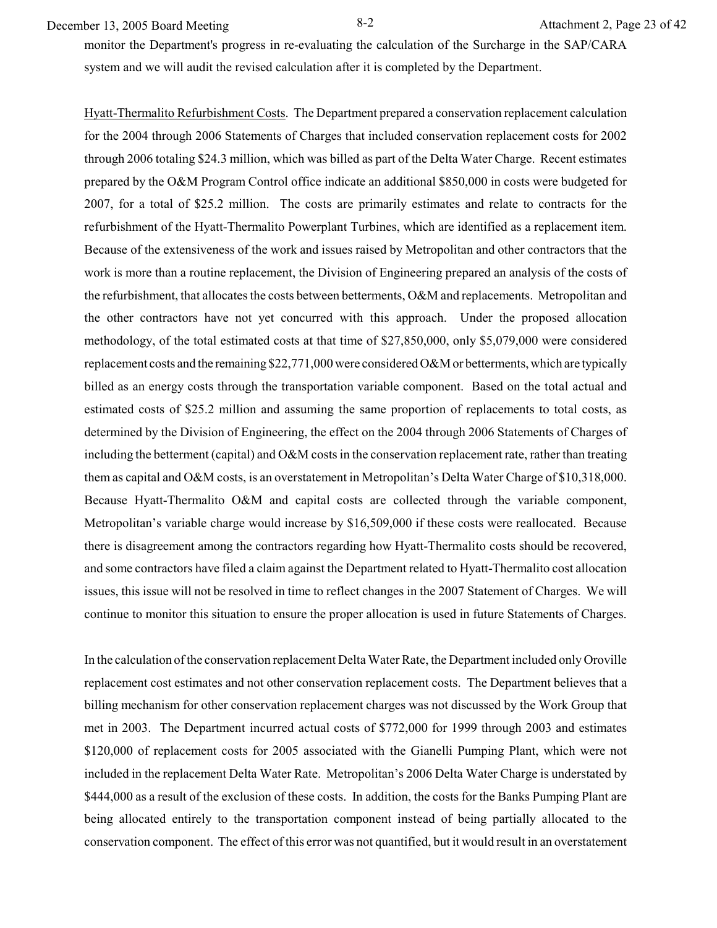December 13, 2005 Board Meeting 8-2 Attachment 2, Page 23 of 42

monitor the Department's progress in re-evaluating the calculation of the Surcharge in the SAP/CARA system and we will audit the revised calculation after it is completed by the Department.

Hyatt-Thermalito Refurbishment Costs. The Department prepared a conservation replacement calculation for the 2004 through 2006 Statements of Charges that included conservation replacement costs for 2002 through 2006 totaling \$24.3 million, which was billed as part of the Delta Water Charge. Recent estimates prepared by the O&M Program Control office indicate an additional \$850,000 in costs were budgeted for 2007, for a total of \$25.2 million. The costs are primarily estimates and relate to contracts for the refurbishment of the Hyatt-Thermalito Powerplant Turbines, which are identified as a replacement item. Because of the extensiveness of the work and issues raised by Metropolitan and other contractors that the work is more than a routine replacement, the Division of Engineering prepared an analysis of the costs of the refurbishment, that allocates the costs between betterments, O&M and replacements. Metropolitan and the other contractors have not yet concurred with this approach. Under the proposed allocation methodology, of the total estimated costs at that time of \$27,850,000, only \$5,079,000 were considered replacement costs and the remaining \$22,771,000 were considered O&M or betterments, which are typically billed as an energy costs through the transportation variable component. Based on the total actual and estimated costs of \$25.2 million and assuming the same proportion of replacements to total costs, as determined by the Division of Engineering, the effect on the 2004 through 2006 Statements of Charges of including the betterment (capital) and O&M costs in the conservation replacement rate, rather than treating them as capital and O&M costs, is an overstatement in Metropolitan's Delta Water Charge of \$10,318,000. Because Hyatt-Thermalito O&M and capital costs are collected through the variable component, Metropolitan's variable charge would increase by \$16,509,000 if these costs were reallocated. Because there is disagreement among the contractors regarding how Hyatt-Thermalito costs should be recovered, and some contractors have filed a claim against the Department related to Hyatt-Thermalito cost allocation issues, this issue will not be resolved in time to reflect changes in the 2007 Statement of Charges. We will continue to monitor this situation to ensure the proper allocation is used in future Statements of Charges.

In the calculation of the conservation replacement Delta Water Rate, the Department included only Oroville replacement cost estimates and not other conservation replacement costs. The Department believes that a billing mechanism for other conservation replacement charges was not discussed by the Work Group that met in 2003. The Department incurred actual costs of \$772,000 for 1999 through 2003 and estimates \$120,000 of replacement costs for 2005 associated with the Gianelli Pumping Plant, which were not included in the replacement Delta Water Rate. Metropolitan's 2006 Delta Water Charge is understated by \$444,000 as a result of the exclusion of these costs. In addition, the costs for the Banks Pumping Plant are being allocated entirely to the transportation component instead of being partially allocated to the conservation component. The effect of this error was not quantified, but it would result in an overstatement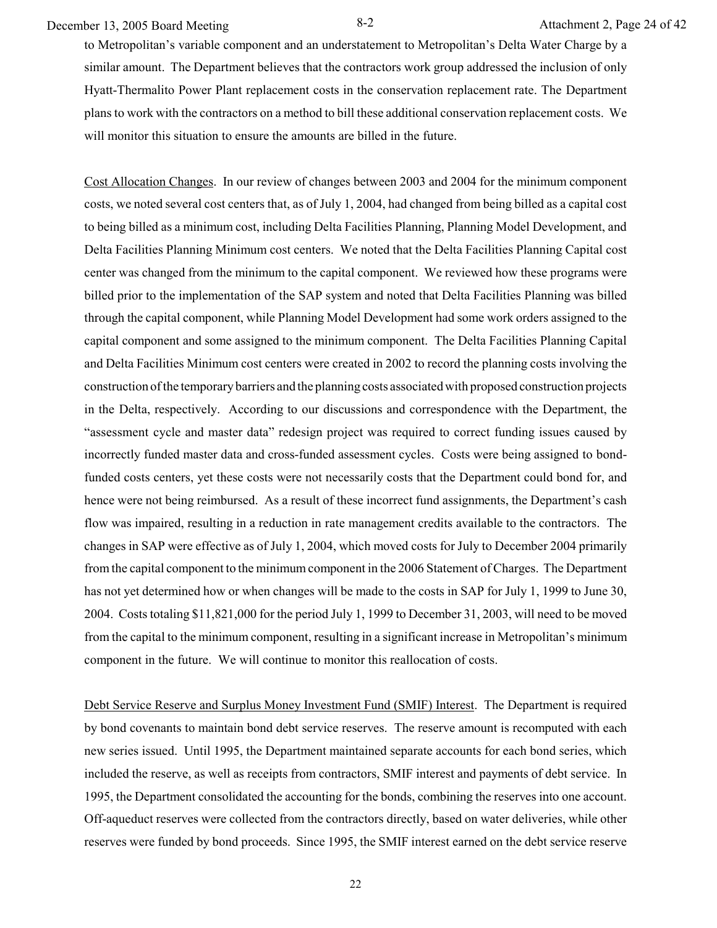December 13, 2005 Board Meeting 8-2 Attachment 2, Page 24 of 42

to Metropolitan's variable component and an understatement to Metropolitan's Delta Water Charge by a similar amount. The Department believes that the contractors work group addressed the inclusion of only Hyatt-Thermalito Power Plant replacement costs in the conservation replacement rate. The Department plans to work with the contractors on a method to bill these additional conservation replacement costs. We will monitor this situation to ensure the amounts are billed in the future.

Cost Allocation Changes. In our review of changes between 2003 and 2004 for the minimum component costs, we noted several cost centers that, as of July 1, 2004, had changed from being billed as a capital cost to being billed as a minimum cost, including Delta Facilities Planning, Planning Model Development, and Delta Facilities Planning Minimum cost centers. We noted that the Delta Facilities Planning Capital cost center was changed from the minimum to the capital component. We reviewed how these programs were billed prior to the implementation of the SAP system and noted that Delta Facilities Planning was billed through the capital component, while Planning Model Development had some work orders assigned to the capital component and some assigned to the minimum component. The Delta Facilities Planning Capital and Delta Facilities Minimum cost centers were created in 2002 to record the planning costs involving the construction of the temporary barriers and the planning costs associated with proposed construction projects in the Delta, respectively. According to our discussions and correspondence with the Department, the "assessment cycle and master data" redesign project was required to correct funding issues caused by incorrectly funded master data and cross-funded assessment cycles. Costs were being assigned to bondfunded costs centers, yet these costs were not necessarily costs that the Department could bond for, and hence were not being reimbursed. As a result of these incorrect fund assignments, the Department's cash flow was impaired, resulting in a reduction in rate management credits available to the contractors. The changes in SAP were effective as of July 1, 2004, which moved costs for July to December 2004 primarily from the capital component to the minimum component in the 2006 Statement of Charges. The Department has not yet determined how or when changes will be made to the costs in SAP for July 1, 1999 to June 30, 2004. Costs totaling \$11,821,000 for the period July 1, 1999 to December 31, 2003, will need to be moved from the capital to the minimum component, resulting in a significant increase in Metropolitan's minimum component in the future. We will continue to monitor this reallocation of costs.

Debt Service Reserve and Surplus Money Investment Fund (SMIF) Interest. The Department is required by bond covenants to maintain bond debt service reserves. The reserve amount is recomputed with each new series issued. Until 1995, the Department maintained separate accounts for each bond series, which included the reserve, as well as receipts from contractors, SMIF interest and payments of debt service. In 1995, the Department consolidated the accounting for the bonds, combining the reserves into one account. Off-aqueduct reserves were collected from the contractors directly, based on water deliveries, while other reserves were funded by bond proceeds. Since 1995, the SMIF interest earned on the debt service reserve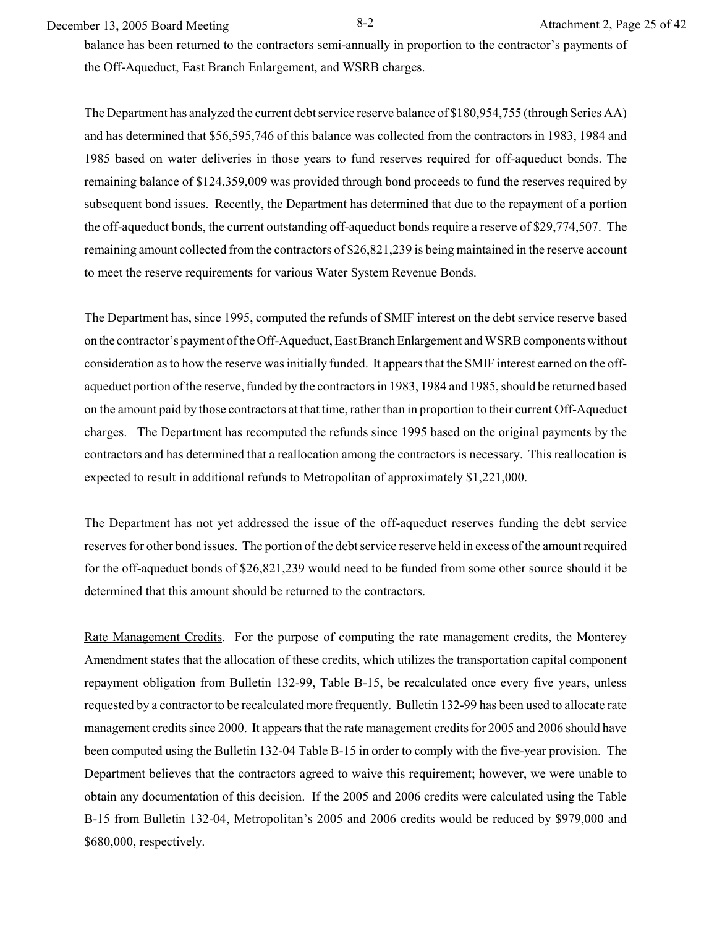December 13, 2005 Board Meeting 8-2 Attachment 2, Page 25 of 42

balance has been returned to the contractors semi-annually in proportion to the contractor's payments of the Off-Aqueduct, East Branch Enlargement, and WSRB charges.

The Department has analyzed the current debt service reserve balance of \$180,954,755 (through Series AA) and has determined that \$56,595,746 of this balance was collected from the contractors in 1983, 1984 and 1985 based on water deliveries in those years to fund reserves required for off-aqueduct bonds. The remaining balance of \$124,359,009 was provided through bond proceeds to fund the reserves required by subsequent bond issues. Recently, the Department has determined that due to the repayment of a portion the off-aqueduct bonds, the current outstanding off-aqueduct bonds require a reserve of \$29,774,507. The remaining amount collected from the contractors of \$26,821,239 is being maintained in the reserve account to meet the reserve requirements for various Water System Revenue Bonds.

The Department has, since 1995, computed the refunds of SMIF interest on the debt service reserve based on the contractor's payment of the Off-Aqueduct, East Branch Enlargement and WSRB components without consideration as to how the reserve was initially funded. It appears that the SMIF interest earned on the offaqueduct portion of the reserve, funded by the contractors in 1983, 1984 and 1985, should be returned based on the amount paid by those contractors at that time, rather than in proportion to their current Off-Aqueduct charges. The Department has recomputed the refunds since 1995 based on the original payments by the contractors and has determined that a reallocation among the contractors is necessary. This reallocation is expected to result in additional refunds to Metropolitan of approximately \$1,221,000.

The Department has not yet addressed the issue of the off-aqueduct reserves funding the debt service reserves for other bond issues. The portion of the debt service reserve held in excess of the amount required for the off-aqueduct bonds of \$26,821,239 would need to be funded from some other source should it be determined that this amount should be returned to the contractors.

Rate Management Credits. For the purpose of computing the rate management credits, the Monterey Amendment states that the allocation of these credits, which utilizes the transportation capital component repayment obligation from Bulletin 132-99, Table B-15, be recalculated once every five years, unless requested by a contractor to be recalculated more frequently. Bulletin 132-99 has been used to allocate rate management credits since 2000. It appears that the rate management credits for 2005 and 2006 should have been computed using the Bulletin 132-04 Table B-15 in order to comply with the five-year provision. The Department believes that the contractors agreed to waive this requirement; however, we were unable to obtain any documentation of this decision. If the 2005 and 2006 credits were calculated using the Table B-15 from Bulletin 132-04, Metropolitan's 2005 and 2006 credits would be reduced by \$979,000 and \$680,000, respectively.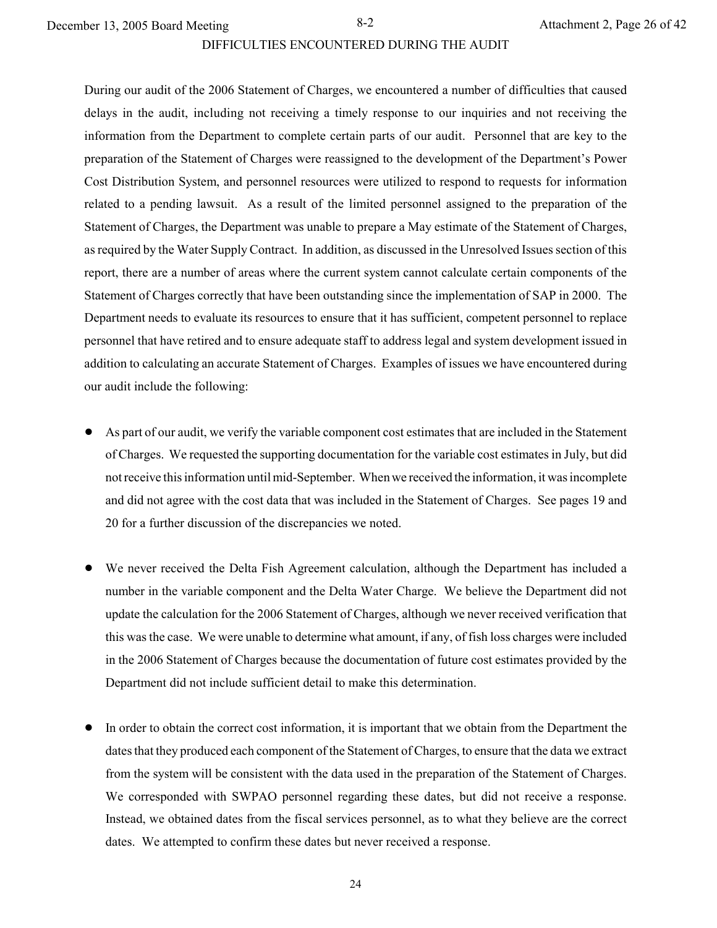#### DIFFICULTIES ENCOUNTERED DURING THE AUDIT

During our audit of the 2006 Statement of Charges, we encountered a number of difficulties that caused delays in the audit, including not receiving a timely response to our inquiries and not receiving the information from the Department to complete certain parts of our audit. Personnel that are key to the preparation of the Statement of Charges were reassigned to the development of the Department's Power Cost Distribution System, and personnel resources were utilized to respond to requests for information related to a pending lawsuit. As a result of the limited personnel assigned to the preparation of the Statement of Charges, the Department was unable to prepare a May estimate of the Statement of Charges, as required by the Water Supply Contract. In addition, as discussed in the Unresolved Issues section of this report, there are a number of areas where the current system cannot calculate certain components of the Statement of Charges correctly that have been outstanding since the implementation of SAP in 2000. The Department needs to evaluate its resources to ensure that it has sufficient, competent personnel to replace personnel that have retired and to ensure adequate staff to address legal and system development issued in addition to calculating an accurate Statement of Charges. Examples of issues we have encountered during our audit include the following:

- ! As part of our audit, we verify the variable component cost estimates that are included in the Statement of Charges. We requested the supporting documentation for the variable cost estimates in July, but did not receive this information until mid-September. When we received the information, it was incomplete and did not agree with the cost data that was included in the Statement of Charges. See pages 19 and 20 for a further discussion of the discrepancies we noted.
- ! We never received the Delta Fish Agreement calculation, although the Department has included a number in the variable component and the Delta Water Charge. We believe the Department did not update the calculation for the 2006 Statement of Charges, although we never received verification that this was the case. We were unable to determine what amount, if any, of fish loss charges were included in the 2006 Statement of Charges because the documentation of future cost estimates provided by the Department did not include sufficient detail to make this determination.
- ! In order to obtain the correct cost information, it is important that we obtain from the Department the dates that they produced each component of the Statement of Charges, to ensure that the data we extract from the system will be consistent with the data used in the preparation of the Statement of Charges. We corresponded with SWPAO personnel regarding these dates, but did not receive a response. Instead, we obtained dates from the fiscal services personnel, as to what they believe are the correct dates. We attempted to confirm these dates but never received a response.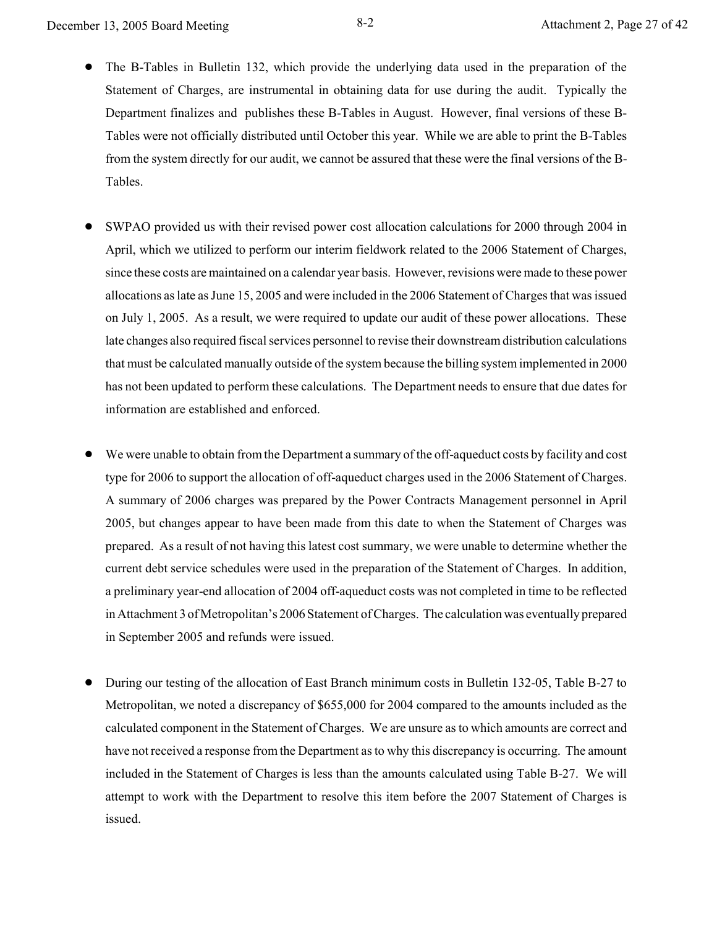- The B-Tables in Bulletin 132, which provide the underlying data used in the preparation of the Statement of Charges, are instrumental in obtaining data for use during the audit. Typically the Department finalizes and publishes these B-Tables in August. However, final versions of these B-Tables were not officially distributed until October this year. While we are able to print the B-Tables from the system directly for our audit, we cannot be assured that these were the final versions of the B-Tables.
- ! SWPAO provided us with their revised power cost allocation calculations for 2000 through 2004 in April, which we utilized to perform our interim fieldwork related to the 2006 Statement of Charges, since these costs are maintained on a calendar year basis. However, revisions were made to these power allocations as late as June 15, 2005 and were included in the 2006 Statement of Charges that was issued on July 1, 2005. As a result, we were required to update our audit of these power allocations. These late changes also required fiscal services personnel to revise their downstream distribution calculations that must be calculated manually outside of the system because the billing system implemented in 2000 has not been updated to perform these calculations. The Department needs to ensure that due dates for information are established and enforced.
- We were unable to obtain from the Department a summary of the off-aqueduct costs by facility and cost type for 2006 to support the allocation of off-aqueduct charges used in the 2006 Statement of Charges. A summary of 2006 charges was prepared by the Power Contracts Management personnel in April 2005, but changes appear to have been made from this date to when the Statement of Charges was prepared. As a result of not having this latest cost summary, we were unable to determine whether the current debt service schedules were used in the preparation of the Statement of Charges. In addition, a preliminary year-end allocation of 2004 off-aqueduct costs was not completed in time to be reflected in Attachment 3 of Metropolitan's 2006 Statement of Charges. The calculation was eventually prepared in September 2005 and refunds were issued.
- ! During our testing of the allocation of East Branch minimum costs in Bulletin 132-05, Table B-27 to Metropolitan, we noted a discrepancy of \$655,000 for 2004 compared to the amounts included as the calculated component in the Statement of Charges. We are unsure as to which amounts are correct and have not received a response from the Department as to why this discrepancy is occurring. The amount included in the Statement of Charges is less than the amounts calculated using Table B-27. We will attempt to work with the Department to resolve this item before the 2007 Statement of Charges is issued.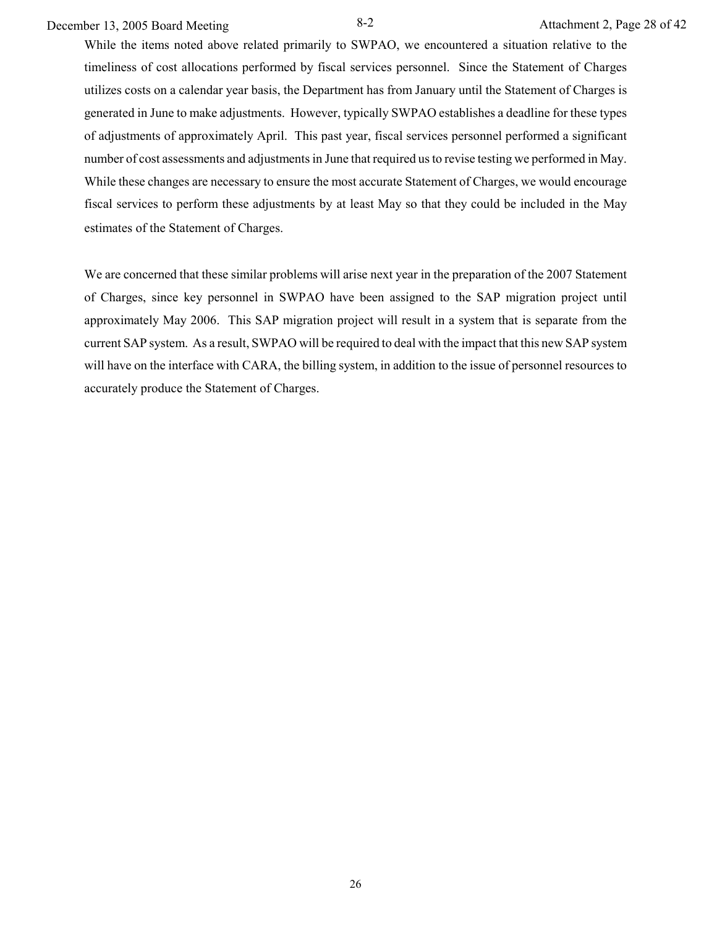# December 13, 2005 Board Meeting 8-2 Attachment 2, Page 28 of 42

While the items noted above related primarily to SWPAO, we encountered a situation relative to the timeliness of cost allocations performed by fiscal services personnel. Since the Statement of Charges utilizes costs on a calendar year basis, the Department has from January until the Statement of Charges is generated in June to make adjustments. However, typically SWPAO establishes a deadline for these types of adjustments of approximately April. This past year, fiscal services personnel performed a significant number of cost assessments and adjustments in June that required us to revise testing we performed in May. While these changes are necessary to ensure the most accurate Statement of Charges, we would encourage fiscal services to perform these adjustments by at least May so that they could be included in the May estimates of the Statement of Charges.

We are concerned that these similar problems will arise next year in the preparation of the 2007 Statement of Charges, since key personnel in SWPAO have been assigned to the SAP migration project until approximately May 2006. This SAP migration project will result in a system that is separate from the current SAP system. As a result, SWPAO will be required to deal with the impact that this new SAP system will have on the interface with CARA, the billing system, in addition to the issue of personnel resources to accurately produce the Statement of Charges.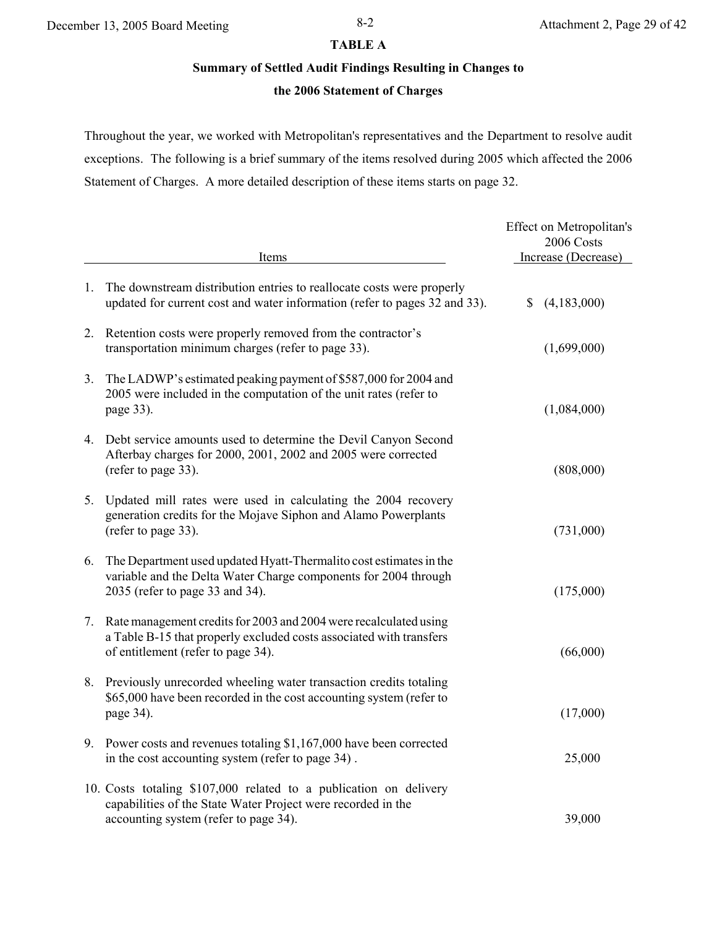## **TABLE A**

# **Summary of Settled Audit Findings Resulting in Changes to**

# **the 2006 Statement of Charges**

Throughout the year, we worked with Metropolitan's representatives and the Department to resolve audit exceptions. The following is a brief summary of the items resolved during 2005 which affected the 2006 Statement of Charges. A more detailed description of these items starts on page 32.

|                | Items                                                                                                                                                                          | Effect on Metropolitan's<br>2006 Costs<br>Increase (Decrease) |
|----------------|--------------------------------------------------------------------------------------------------------------------------------------------------------------------------------|---------------------------------------------------------------|
| 1.             | The downstream distribution entries to reallocate costs were properly<br>updated for current cost and water information (refer to pages 32 and 33).                            | (4,183,000)<br>\$                                             |
| 2.             | Retention costs were properly removed from the contractor's<br>transportation minimum charges (refer to page 33).                                                              | (1,699,000)                                                   |
| 3 <sub>1</sub> | The LADWP's estimated peaking payment of \$587,000 for 2004 and<br>2005 were included in the computation of the unit rates (refer to<br>page 33).                              | (1,084,000)                                                   |
| 4.             | Debt service amounts used to determine the Devil Canyon Second<br>Afterbay charges for 2000, 2001, 2002 and 2005 were corrected<br>(refer to page 33).                         | (808,000)                                                     |
| 5.             | Updated mill rates were used in calculating the 2004 recovery<br>generation credits for the Mojave Siphon and Alamo Powerplants<br>(refer to page 33).                         | (731,000)                                                     |
| 6.             | The Department used updated Hyatt-Thermalito cost estimates in the<br>variable and the Delta Water Charge components for 2004 through<br>2035 (refer to page 33 and 34).       | (175,000)                                                     |
| 7.             | Rate management credits for 2003 and 2004 were recalculated using<br>a Table B-15 that properly excluded costs associated with transfers<br>of entitlement (refer to page 34). | (66,000)                                                      |
| 8.             | Previously unrecorded wheeling water transaction credits totaling<br>\$65,000 have been recorded in the cost accounting system (refer to<br>page 34).                          | (17,000)                                                      |
|                | 9. Power costs and revenues totaling \$1,167,000 have been corrected<br>in the cost accounting system (refer to page 34).                                                      | 25,000                                                        |
|                | 10. Costs totaling \$107,000 related to a publication on delivery<br>capabilities of the State Water Project were recorded in the<br>accounting system (refer to page 34).     | 39,000                                                        |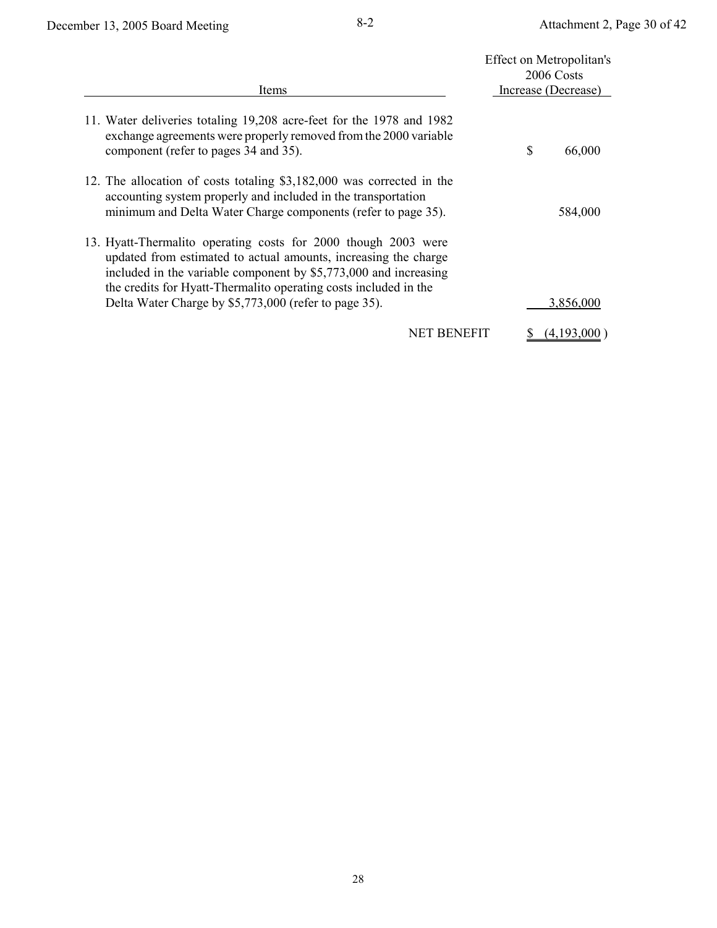|                                                                                                                                                                                                                                                                           |   | Effect on Metropolitan's<br>2006 Costs |
|---------------------------------------------------------------------------------------------------------------------------------------------------------------------------------------------------------------------------------------------------------------------------|---|----------------------------------------|
| Items                                                                                                                                                                                                                                                                     |   | Increase (Decrease)                    |
| 11. Water deliveries totaling 19,208 acre-feet for the 1978 and 1982<br>exchange agreements were properly removed from the 2000 variable<br>component (refer to pages 34 and 35).                                                                                         | S | 66,000                                 |
| 12. The allocation of costs totaling \$3,182,000 was corrected in the<br>accounting system properly and included in the transportation<br>minimum and Delta Water Charge components (refer to page 35).                                                                   |   | 584,000                                |
| 13. Hyatt-Thermalito operating costs for 2000 though 2003 were<br>updated from estimated to actual amounts, increasing the charge<br>included in the variable component by \$5,773,000 and increasing<br>the credits for Hyatt-Thermalito operating costs included in the |   |                                        |
| Delta Water Charge by \$5,773,000 (refer to page 35).                                                                                                                                                                                                                     |   | 3,856,000                              |
| <b>NET BENEFIT</b>                                                                                                                                                                                                                                                        |   | (4,193,0                               |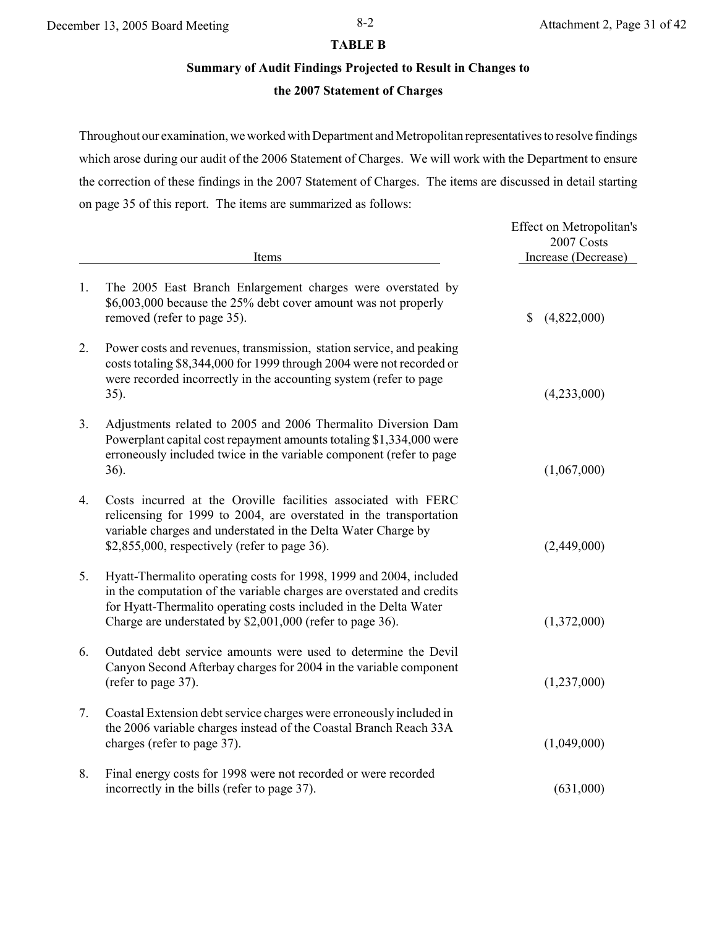#### **TABLE B**

# **Summary of Audit Findings Projected to Result in Changes to**

# **the 2007 Statement of Charges**

Throughout our examination, we worked with Department and Metropolitan representatives to resolve findings which arose during our audit of the 2006 Statement of Charges. We will work with the Department to ensure the correction of these findings in the 2007 Statement of Charges. The items are discussed in detail starting on page 35 of this report. The items are summarized as follows:

|    | Items                                                                                                                                                                                                                                                                        | Effect on Metropolitan's<br>2007 Costs<br>Increase (Decrease) |
|----|------------------------------------------------------------------------------------------------------------------------------------------------------------------------------------------------------------------------------------------------------------------------------|---------------------------------------------------------------|
| 1. | The 2005 East Branch Enlargement charges were overstated by<br>\$6,003,000 because the 25% debt cover amount was not properly<br>removed (refer to page 35).                                                                                                                 | $\mathbb{S}$<br>(4,822,000)                                   |
| 2. | Power costs and revenues, transmission, station service, and peaking<br>costs totaling \$8,344,000 for 1999 through 2004 were not recorded or<br>were recorded incorrectly in the accounting system (refer to page<br>35).                                                   | (4,233,000)                                                   |
| 3. | Adjustments related to 2005 and 2006 Thermalito Diversion Dam<br>Powerplant capital cost repayment amounts totaling \$1,334,000 were<br>erroneously included twice in the variable component (refer to page<br>36).                                                          | (1,067,000)                                                   |
| 4. | Costs incurred at the Oroville facilities associated with FERC<br>relicensing for 1999 to 2004, are overstated in the transportation<br>variable charges and understated in the Delta Water Charge by<br>\$2,855,000, respectively (refer to page 36).                       | (2,449,000)                                                   |
| 5. | Hyatt-Thermalito operating costs for 1998, 1999 and 2004, included<br>in the computation of the variable charges are overstated and credits<br>for Hyatt-Thermalito operating costs included in the Delta Water<br>Charge are understated by \$2,001,000 (refer to page 36). | (1,372,000)                                                   |
| 6. | Outdated debt service amounts were used to determine the Devil<br>Canyon Second Afterbay charges for 2004 in the variable component<br>(refer to page 37).                                                                                                                   | (1,237,000)                                                   |
| 7. | Coastal Extension debt service charges were erroneously included in<br>the 2006 variable charges instead of the Coastal Branch Reach 33A<br>charges (refer to page 37).                                                                                                      | (1,049,000)                                                   |
| 8. | Final energy costs for 1998 were not recorded or were recorded<br>incorrectly in the bills (refer to page 37).                                                                                                                                                               | (631,000)                                                     |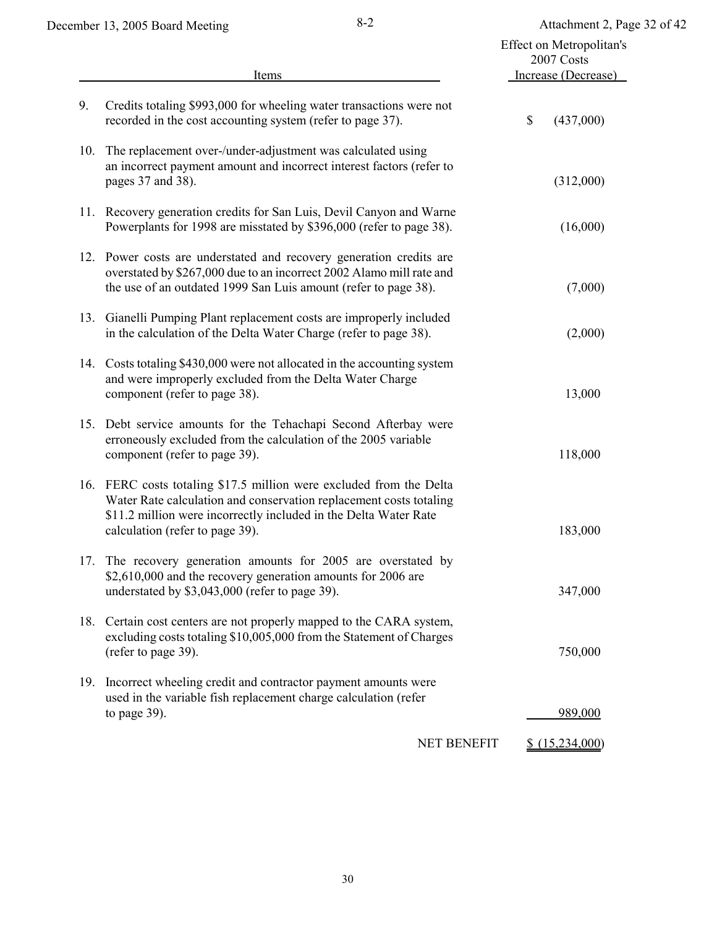|     | Items                                                                                                                                                                                                                                            | Effect on Metropolitan's<br>2007 Costs<br>Increase (Decrease) |
|-----|--------------------------------------------------------------------------------------------------------------------------------------------------------------------------------------------------------------------------------------------------|---------------------------------------------------------------|
| 9.  | Credits totaling \$993,000 for wheeling water transactions were not<br>recorded in the cost accounting system (refer to page 37).                                                                                                                | \$<br>(437,000)                                               |
| 10. | The replacement over-/under-adjustment was calculated using<br>an incorrect payment amount and incorrect interest factors (refer to<br>pages 37 and 38).                                                                                         | (312,000)                                                     |
|     | 11. Recovery generation credits for San Luis, Devil Canyon and Warne<br>Powerplants for 1998 are misstated by \$396,000 (refer to page 38).                                                                                                      | (16,000)                                                      |
|     | 12. Power costs are understated and recovery generation credits are<br>overstated by \$267,000 due to an incorrect 2002 Alamo mill rate and<br>the use of an outdated 1999 San Luis amount (refer to page 38).                                   | (7,000)                                                       |
|     | 13. Gianelli Pumping Plant replacement costs are improperly included<br>in the calculation of the Delta Water Charge (refer to page 38).                                                                                                         | (2,000)                                                       |
|     | 14. Costs totaling \$430,000 were not allocated in the accounting system<br>and were improperly excluded from the Delta Water Charge<br>component (refer to page 38).                                                                            | 13,000                                                        |
| 15. | Debt service amounts for the Tehachapi Second Afterbay were<br>erroneously excluded from the calculation of the 2005 variable<br>component (refer to page 39).                                                                                   | 118,000                                                       |
|     | 16. FERC costs totaling \$17.5 million were excluded from the Delta<br>Water Rate calculation and conservation replacement costs totaling<br>\$11.2 million were incorrectly included in the Delta Water Rate<br>calculation (refer to page 39). | 183,000                                                       |
| 17. | The recovery generation amounts for 2005 are overstated by<br>\$2,610,000 and the recovery generation amounts for 2006 are<br>understated by \$3,043,000 (refer to page 39).                                                                     | 347,000                                                       |
| 18. | Certain cost centers are not properly mapped to the CARA system,<br>excluding costs totaling \$10,005,000 from the Statement of Charges<br>(refer to page 39).                                                                                   | 750,000                                                       |
| 19. | Incorrect wheeling credit and contractor payment amounts were<br>used in the variable fish replacement charge calculation (refer<br>to page 39).                                                                                                 | 989,000                                                       |
|     | NET BENEFIT                                                                                                                                                                                                                                      | $$$ $(15,234,000)$                                            |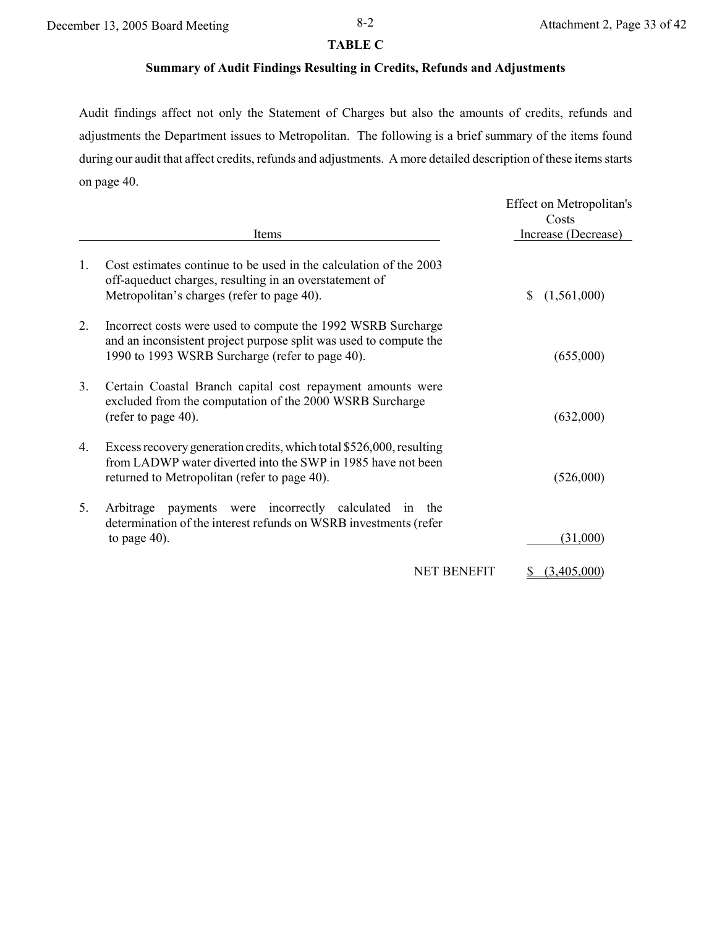### **TABLE C**

# **Summary of Audit Findings Resulting in Credits, Refunds and Adjustments**

Audit findings affect not only the Statement of Charges but also the amounts of credits, refunds and adjustments the Department issues to Metropolitan. The following is a brief summary of the items found during our audit that affect credits, refunds and adjustments. A more detailed description of these items starts on page 40.

|              | Items                                                                                                                                                                                | Effect on Metropolitan's<br>Costs<br>Increase (Decrease) |
|--------------|--------------------------------------------------------------------------------------------------------------------------------------------------------------------------------------|----------------------------------------------------------|
| $\mathbf{1}$ | Cost estimates continue to be used in the calculation of the 2003<br>off-aqueduct charges, resulting in an overstatement of<br>Metropolitan's charges (refer to page 40).            | (1,561,000)<br>S                                         |
| 2.           | Incorrect costs were used to compute the 1992 WSRB Surcharge<br>and an inconsistent project purpose split was used to compute the<br>1990 to 1993 WSRB Surcharge (refer to page 40). | (655,000)                                                |
| 3.           | Certain Coastal Branch capital cost repayment amounts were<br>excluded from the computation of the 2000 WSRB Surcharge<br>(refer to page 40).                                        | (632,000)                                                |
| $4_{\cdot}$  | Excess recovery generation credits, which total \$526,000, resulting<br>from LADWP water diverted into the SWP in 1985 have not been<br>returned to Metropolitan (refer to page 40). | (526,000)                                                |
| 5.           | payments were incorrectly calculated in<br>Arbitrage<br>the<br>determination of the interest refunds on WSRB investments (refer<br>to page $40$ ).                                   | (31,000)                                                 |
|              | <b>NET BENEFIT</b>                                                                                                                                                                   | (3.405.000                                               |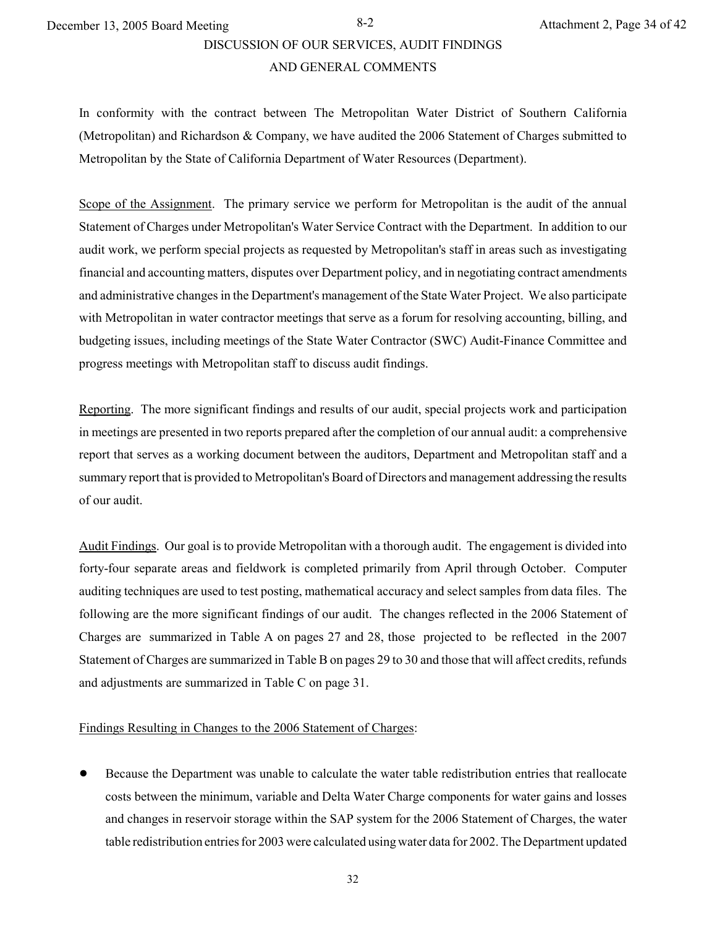# DISCUSSION OF OUR SERVICES, AUDIT FINDINGS

#### AND GENERAL COMMENTS

In conformity with the contract between The Metropolitan Water District of Southern California (Metropolitan) and Richardson & Company, we have audited the 2006 Statement of Charges submitted to Metropolitan by the State of California Department of Water Resources (Department).

Scope of the Assignment. The primary service we perform for Metropolitan is the audit of the annual Statement of Charges under Metropolitan's Water Service Contract with the Department. In addition to our audit work, we perform special projects as requested by Metropolitan's staff in areas such as investigating financial and accounting matters, disputes over Department policy, and in negotiating contract amendments and administrative changes in the Department's management of the State Water Project. We also participate with Metropolitan in water contractor meetings that serve as a forum for resolving accounting, billing, and budgeting issues, including meetings of the State Water Contractor (SWC) Audit-Finance Committee and progress meetings with Metropolitan staff to discuss audit findings.

Reporting. The more significant findings and results of our audit, special projects work and participation in meetings are presented in two reports prepared after the completion of our annual audit: a comprehensive report that serves as a working document between the auditors, Department and Metropolitan staff and a summary report that is provided to Metropolitan's Board of Directors and management addressing the results of our audit.

Audit Findings. Our goal is to provide Metropolitan with a thorough audit. The engagement is divided into forty-four separate areas and fieldwork is completed primarily from April through October. Computer auditing techniques are used to test posting, mathematical accuracy and select samples from data files. The following are the more significant findings of our audit. The changes reflected in the 2006 Statement of Charges are summarized in Table A on pages 27 and 28, those projected to be reflected in the 2007 Statement of Charges are summarized in Table B on pages 29 to 30 and those that will affect credits, refunds and adjustments are summarized in Table C on page 31.

#### Findings Resulting in Changes to the 2006 Statement of Charges:

Because the Department was unable to calculate the water table redistribution entries that reallocate costs between the minimum, variable and Delta Water Charge components for water gains and losses and changes in reservoir storage within the SAP system for the 2006 Statement of Charges, the water table redistribution entries for 2003 were calculated using water data for 2002. The Department updated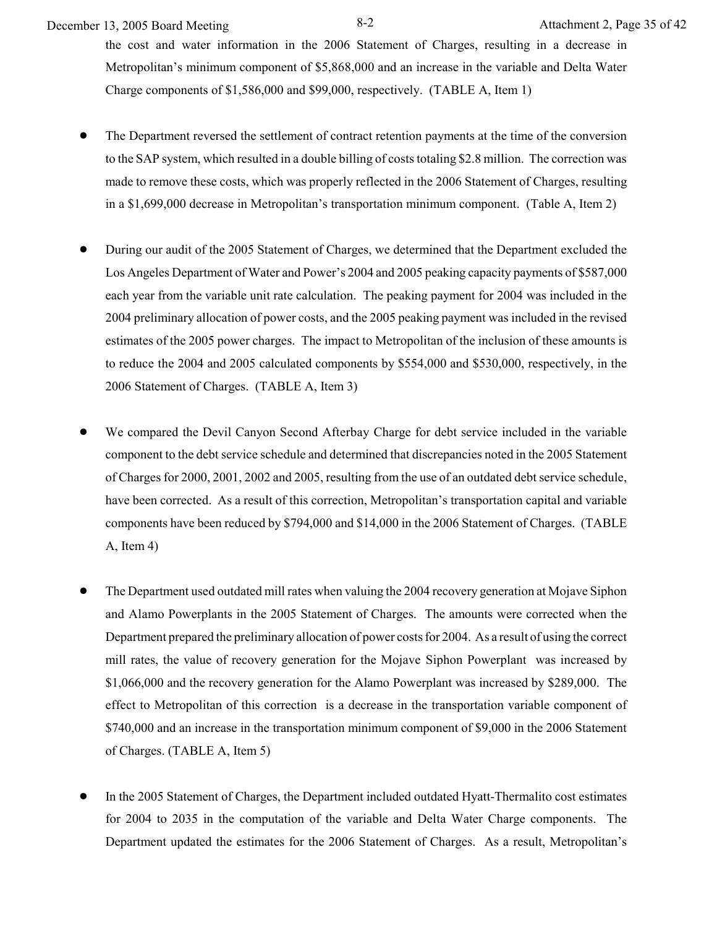December 13, 2005 Board Meeting 8-2 Attachment 2, Page 35 of 42

the cost and water information in the 2006 Statement of Charges, resulting in a decrease in Metropolitan's minimum component of \$5,868,000 and an increase in the variable and Delta Water Charge components of \$1,586,000 and \$99,000, respectively. (TABLE A, Item 1)

- The Department reversed the settlement of contract retention payments at the time of the conversion to the SAP system, which resulted in a double billing of costs totaling \$2.8 million. The correction was made to remove these costs, which was properly reflected in the 2006 Statement of Charges, resulting in a \$1,699,000 decrease in Metropolitan's transportation minimum component. (Table A, Item 2)
- ! During our audit of the 2005 Statement of Charges, we determined that the Department excluded the Los Angeles Department of Water and Power's 2004 and 2005 peaking capacity payments of \$587,000 each year from the variable unit rate calculation. The peaking payment for 2004 was included in the 2004 preliminary allocation of power costs, and the 2005 peaking payment was included in the revised estimates of the 2005 power charges. The impact to Metropolitan of the inclusion of these amounts is to reduce the 2004 and 2005 calculated components by \$554,000 and \$530,000, respectively, in the 2006 Statement of Charges. (TABLE A, Item 3)
- We compared the Devil Canyon Second Afterbay Charge for debt service included in the variable component to the debt service schedule and determined that discrepancies noted in the 2005 Statement of Charges for 2000, 2001, 2002 and 2005, resulting from the use of an outdated debt service schedule, have been corrected. As a result of this correction, Metropolitan's transportation capital and variable components have been reduced by \$794,000 and \$14,000 in the 2006 Statement of Charges. (TABLE A, Item 4)
- ! The Department used outdated mill rates when valuing the 2004 recovery generation at Mojave Siphon and Alamo Powerplants in the 2005 Statement of Charges. The amounts were corrected when the Department prepared the preliminary allocation of power costs for 2004. As a result of using the correct mill rates, the value of recovery generation for the Mojave Siphon Powerplant was increased by \$1,066,000 and the recovery generation for the Alamo Powerplant was increased by \$289,000. The effect to Metropolitan of this correction is a decrease in the transportation variable component of \$740,000 and an increase in the transportation minimum component of \$9,000 in the 2006 Statement of Charges. (TABLE A, Item 5)
- In the 2005 Statement of Charges, the Department included outdated Hyatt-Thermalito cost estimates for 2004 to 2035 in the computation of the variable and Delta Water Charge components. The Department updated the estimates for the 2006 Statement of Charges. As a result, Metropolitan's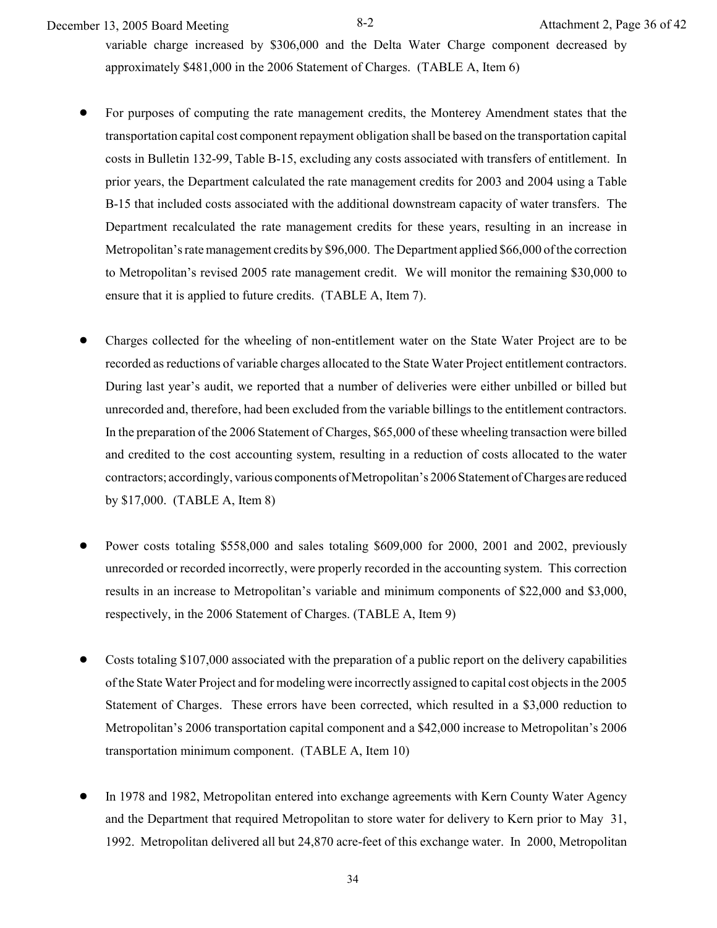December 13, 2005 Board Meeting 8-2 Attachment 2, Page 36 of 42

variable charge increased by \$306,000 and the Delta Water Charge component decreased by approximately \$481,000 in the 2006 Statement of Charges. (TABLE A, Item 6)

- ! For purposes of computing the rate management credits, the Monterey Amendment states that the transportation capital cost component repayment obligation shall be based on the transportation capital costs in Bulletin 132-99, Table B-15, excluding any costs associated with transfers of entitlement. In prior years, the Department calculated the rate management credits for 2003 and 2004 using a Table B-15 that included costs associated with the additional downstream capacity of water transfers. The Department recalculated the rate management credits for these years, resulting in an increase in Metropolitan's rate management credits by \$96,000. The Department applied \$66,000 of the correction to Metropolitan's revised 2005 rate management credit. We will monitor the remaining \$30,000 to ensure that it is applied to future credits. (TABLE A, Item 7).
- ! Charges collected for the wheeling of non-entitlement water on the State Water Project are to be recorded as reductions of variable charges allocated to the State Water Project entitlement contractors. During last year's audit, we reported that a number of deliveries were either unbilled or billed but unrecorded and, therefore, had been excluded from the variable billings to the entitlement contractors. In the preparation of the 2006 Statement of Charges, \$65,000 of these wheeling transaction were billed and credited to the cost accounting system, resulting in a reduction of costs allocated to the water contractors; accordingly, various components of Metropolitan's 2006 Statement of Charges are reduced by \$17,000. (TABLE A, Item 8)
- Power costs totaling \$558,000 and sales totaling \$609,000 for 2000, 2001 and 2002, previously unrecorded or recorded incorrectly, were properly recorded in the accounting system. This correction results in an increase to Metropolitan's variable and minimum components of \$22,000 and \$3,000, respectively, in the 2006 Statement of Charges. (TABLE A, Item 9)
- Costs totaling \$107,000 associated with the preparation of a public report on the delivery capabilities of the State Water Project and for modeling were incorrectly assigned to capital cost objects in the 2005 Statement of Charges. These errors have been corrected, which resulted in a \$3,000 reduction to Metropolitan's 2006 transportation capital component and a \$42,000 increase to Metropolitan's 2006 transportation minimum component. (TABLE A, Item 10)
- In 1978 and 1982, Metropolitan entered into exchange agreements with Kern County Water Agency and the Department that required Metropolitan to store water for delivery to Kern prior to May 31, 1992. Metropolitan delivered all but 24,870 acre-feet of this exchange water. In 2000, Metropolitan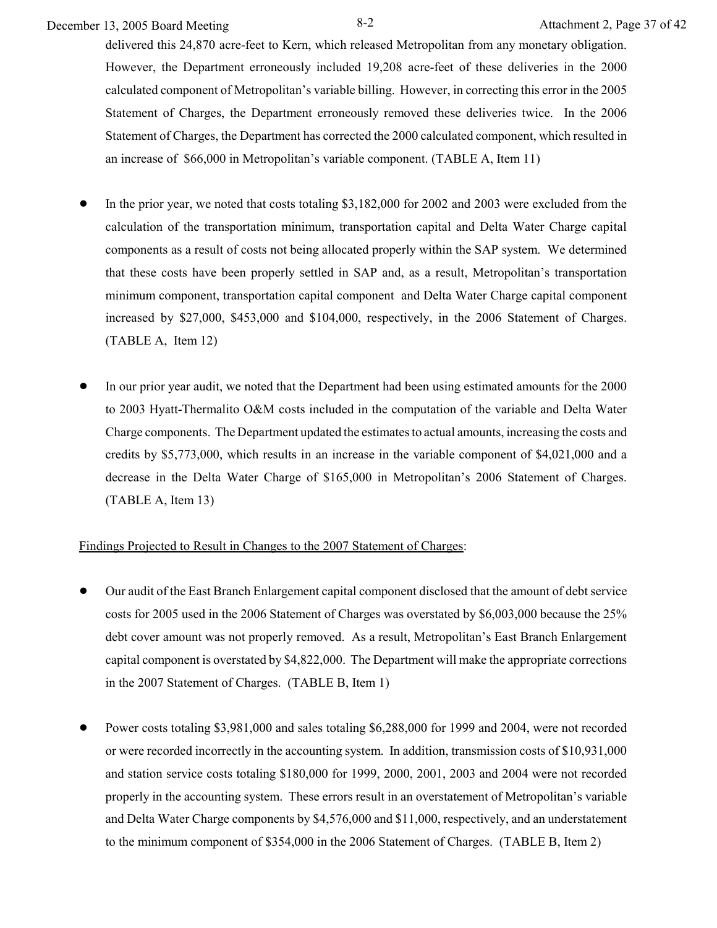December 13, 2005 Board Meeting 8-2 Attachment 2, Page 37 of 42

delivered this 24,870 acre-feet to Kern, which released Metropolitan from any monetary obligation. However, the Department erroneously included 19,208 acre-feet of these deliveries in the 2000 calculated component of Metropolitan's variable billing. However, in correcting this error in the 2005 Statement of Charges, the Department erroneously removed these deliveries twice. In the 2006 Statement of Charges, the Department has corrected the 2000 calculated component, which resulted in an increase of \$66,000 in Metropolitan's variable component. (TABLE A, Item 11)

- In the prior year, we noted that costs totaling \$3,182,000 for 2002 and 2003 were excluded from the calculation of the transportation minimum, transportation capital and Delta Water Charge capital components as a result of costs not being allocated properly within the SAP system. We determined that these costs have been properly settled in SAP and, as a result, Metropolitan's transportation minimum component, transportation capital component and Delta Water Charge capital component increased by \$27,000, \$453,000 and \$104,000, respectively, in the 2006 Statement of Charges. (TABLE A, Item 12)
- ! In our prior year audit, we noted that the Department had been using estimated amounts for the 2000 to 2003 Hyatt-Thermalito O&M costs included in the computation of the variable and Delta Water Charge components. The Department updated the estimates to actual amounts, increasing the costs and credits by \$5,773,000, which results in an increase in the variable component of \$4,021,000 and a decrease in the Delta Water Charge of \$165,000 in Metropolitan's 2006 Statement of Charges. (TABLE A, Item 13)

### Findings Projected to Result in Changes to the 2007 Statement of Charges:

- ! Our audit of the East Branch Enlargement capital component disclosed that the amount of debt service costs for 2005 used in the 2006 Statement of Charges was overstated by \$6,003,000 because the 25% debt cover amount was not properly removed. As a result, Metropolitan's East Branch Enlargement capital component is overstated by \$4,822,000. The Department will make the appropriate corrections in the 2007 Statement of Charges. (TABLE B, Item 1)
- Power costs totaling \$3,981,000 and sales totaling \$6,288,000 for 1999 and 2004, were not recorded or were recorded incorrectly in the accounting system. In addition, transmission costs of \$10,931,000 and station service costs totaling \$180,000 for 1999, 2000, 2001, 2003 and 2004 were not recorded properly in the accounting system. These errors result in an overstatement of Metropolitan's variable and Delta Water Charge components by \$4,576,000 and \$11,000, respectively, and an understatement to the minimum component of \$354,000 in the 2006 Statement of Charges. (TABLE B, Item 2)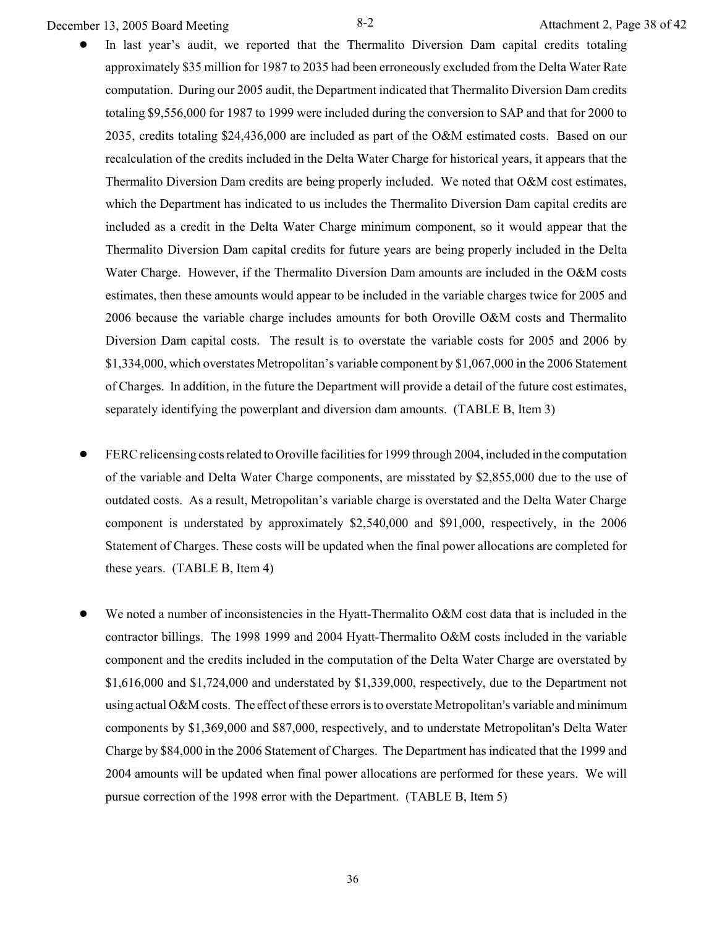December 13, 2005 Board Meeting 8-2 Attachment 2, Page 38 of 42

- In last year's audit, we reported that the Thermalito Diversion Dam capital credits totaling approximately \$35 million for 1987 to 2035 had been erroneously excluded from the Delta Water Rate computation. During our 2005 audit, the Department indicated that Thermalito Diversion Dam credits totaling \$9,556,000 for 1987 to 1999 were included during the conversion to SAP and that for 2000 to 2035, credits totaling \$24,436,000 are included as part of the O&M estimated costs. Based on our recalculation of the credits included in the Delta Water Charge for historical years, it appears that the Thermalito Diversion Dam credits are being properly included. We noted that O&M cost estimates, which the Department has indicated to us includes the Thermalito Diversion Dam capital credits are included as a credit in the Delta Water Charge minimum component, so it would appear that the Thermalito Diversion Dam capital credits for future years are being properly included in the Delta Water Charge. However, if the Thermalito Diversion Dam amounts are included in the O&M costs estimates, then these amounts would appear to be included in the variable charges twice for 2005 and 2006 because the variable charge includes amounts for both Oroville O&M costs and Thermalito Diversion Dam capital costs. The result is to overstate the variable costs for 2005 and 2006 by \$1,334,000, which overstates Metropolitan's variable component by \$1,067,000 in the 2006 Statement of Charges. In addition, in the future the Department will provide a detail of the future cost estimates, separately identifying the powerplant and diversion dam amounts. (TABLE B, Item 3)
- ! FERC relicensing costs related to Oroville facilities for 1999 through 2004, included in the computation of the variable and Delta Water Charge components, are misstated by \$2,855,000 due to the use of outdated costs. As a result, Metropolitan's variable charge is overstated and the Delta Water Charge component is understated by approximately \$2,540,000 and \$91,000, respectively, in the 2006 Statement of Charges. These costs will be updated when the final power allocations are completed for these years. (TABLE B, Item 4)
- We noted a number of inconsistencies in the Hyatt-Thermalito O&M cost data that is included in the contractor billings. The 1998 1999 and 2004 Hyatt-Thermalito O&M costs included in the variable component and the credits included in the computation of the Delta Water Charge are overstated by \$1,616,000 and \$1,724,000 and understated by \$1,339,000, respectively, due to the Department not using actual O&M costs. The effect of these errors is to overstate Metropolitan's variable and minimum components by \$1,369,000 and \$87,000, respectively, and to understate Metropolitan's Delta Water Charge by \$84,000 in the 2006 Statement of Charges. The Department has indicated that the 1999 and 2004 amounts will be updated when final power allocations are performed for these years. We will pursue correction of the 1998 error with the Department. (TABLE B, Item 5)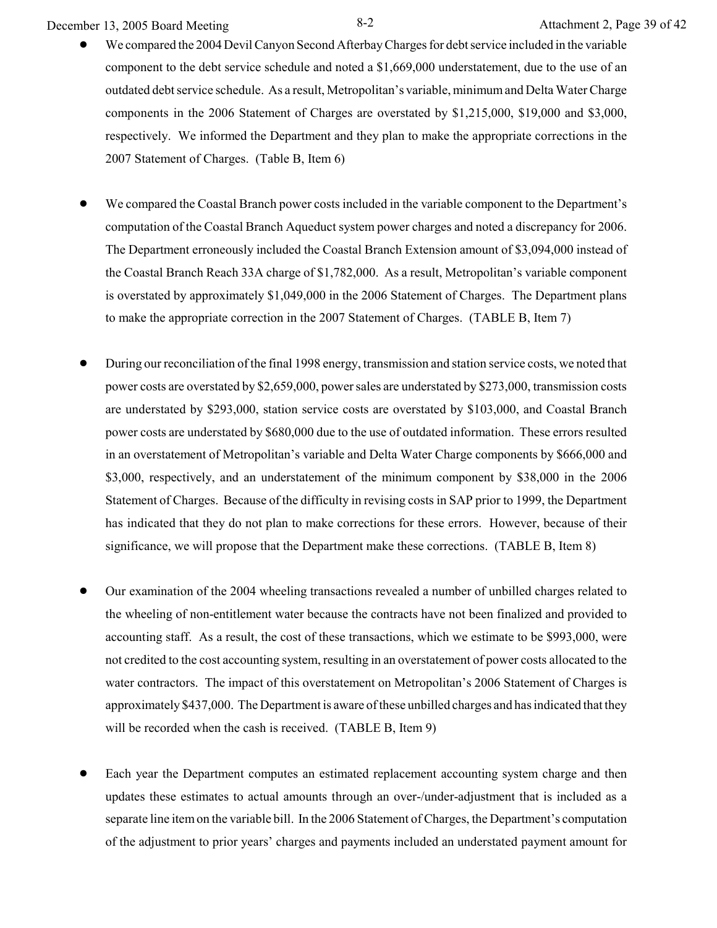December 13, 2005 Board Meeting 8-2 Attachment 2, Page 39 of 42

- We compared the 2004 Devil Canyon Second Afterbay Charges for debt service included in the variable component to the debt service schedule and noted a \$1,669,000 understatement, due to the use of an outdated debt service schedule. As a result, Metropolitan's variable, minimum and Delta Water Charge components in the 2006 Statement of Charges are overstated by \$1,215,000, \$19,000 and \$3,000, respectively. We informed the Department and they plan to make the appropriate corrections in the 2007 Statement of Charges. (Table B, Item 6)
- We compared the Coastal Branch power costs included in the variable component to the Department's computation of the Coastal Branch Aqueduct system power charges and noted a discrepancy for 2006. The Department erroneously included the Coastal Branch Extension amount of \$3,094,000 instead of the Coastal Branch Reach 33A charge of \$1,782,000. As a result, Metropolitan's variable component is overstated by approximately \$1,049,000 in the 2006 Statement of Charges. The Department plans to make the appropriate correction in the 2007 Statement of Charges. (TABLE B, Item 7)
- ! During our reconciliation of the final 1998 energy, transmission and station service costs, we noted that power costs are overstated by \$2,659,000, power sales are understated by \$273,000, transmission costs are understated by \$293,000, station service costs are overstated by \$103,000, and Coastal Branch power costs are understated by \$680,000 due to the use of outdated information. These errors resulted in an overstatement of Metropolitan's variable and Delta Water Charge components by \$666,000 and \$3,000, respectively, and an understatement of the minimum component by \$38,000 in the 2006 Statement of Charges. Because of the difficulty in revising costs in SAP prior to 1999, the Department has indicated that they do not plan to make corrections for these errors. However, because of their significance, we will propose that the Department make these corrections. (TABLE B, Item 8)
- ! Our examination of the 2004 wheeling transactions revealed a number of unbilled charges related to the wheeling of non-entitlement water because the contracts have not been finalized and provided to accounting staff. As a result, the cost of these transactions, which we estimate to be \$993,000, were not credited to the cost accounting system, resulting in an overstatement of power costs allocated to the water contractors. The impact of this overstatement on Metropolitan's 2006 Statement of Charges is approximately \$437,000. The Department is aware of these unbilled charges and has indicated that they will be recorded when the cash is received. (TABLE B, Item 9)
- Each year the Department computes an estimated replacement accounting system charge and then updates these estimates to actual amounts through an over-/under-adjustment that is included as a separate line item on the variable bill. In the 2006 Statement of Charges, the Department's computation of the adjustment to prior years' charges and payments included an understated payment amount for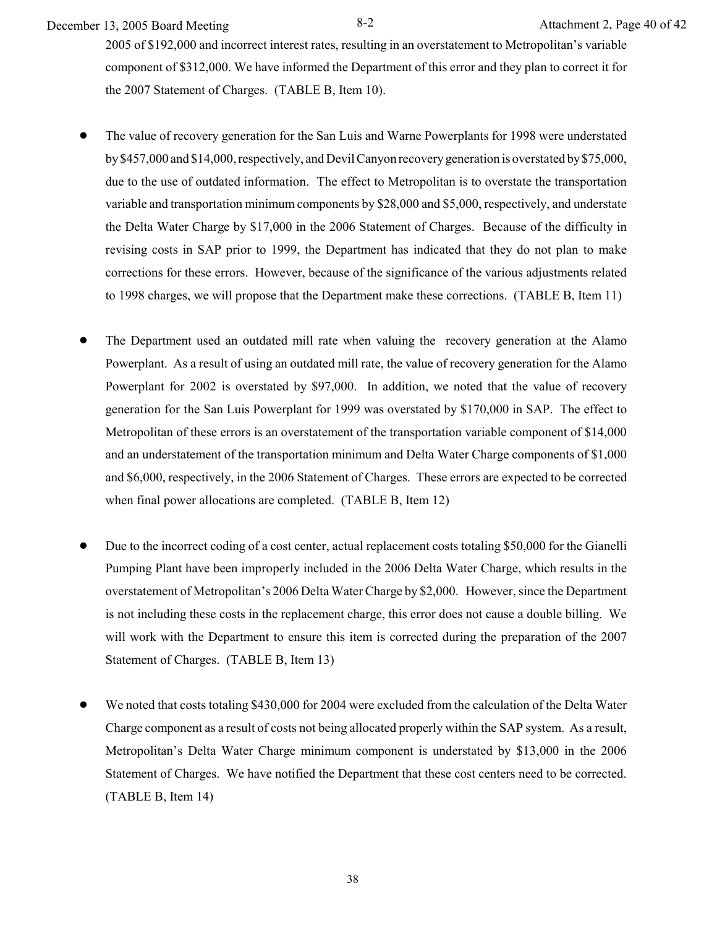December 13, 2005 Board Meeting 8-2 Attachment 2, Page 40 of 42

2005 of \$192,000 and incorrect interest rates, resulting in an overstatement to Metropolitan's variable component of \$312,000. We have informed the Department of this error and they plan to correct it for the 2007 Statement of Charges. (TABLE B, Item 10).

- ! The value of recovery generation for the San Luis and Warne Powerplants for 1998 were understated by \$457,000 and \$14,000, respectively, and Devil Canyon recovery generation is overstated by \$75,000, due to the use of outdated information. The effect to Metropolitan is to overstate the transportation variable and transportation minimum components by \$28,000 and \$5,000, respectively, and understate the Delta Water Charge by \$17,000 in the 2006 Statement of Charges. Because of the difficulty in revising costs in SAP prior to 1999, the Department has indicated that they do not plan to make corrections for these errors. However, because of the significance of the various adjustments related to 1998 charges, we will propose that the Department make these corrections. (TABLE B, Item 11)
- ! The Department used an outdated mill rate when valuing the recovery generation at the Alamo Powerplant. As a result of using an outdated mill rate, the value of recovery generation for the Alamo Powerplant for 2002 is overstated by \$97,000. In addition, we noted that the value of recovery generation for the San Luis Powerplant for 1999 was overstated by \$170,000 in SAP. The effect to Metropolitan of these errors is an overstatement of the transportation variable component of \$14,000 and an understatement of the transportation minimum and Delta Water Charge components of \$1,000 and \$6,000, respectively, in the 2006 Statement of Charges. These errors are expected to be corrected when final power allocations are completed. (TABLE B, Item 12)
- ! Due to the incorrect coding of a cost center, actual replacement costs totaling \$50,000 for the Gianelli Pumping Plant have been improperly included in the 2006 Delta Water Charge, which results in the overstatement of Metropolitan's 2006 Delta Water Charge by \$2,000. However, since the Department is not including these costs in the replacement charge, this error does not cause a double billing. We will work with the Department to ensure this item is corrected during the preparation of the 2007 Statement of Charges. (TABLE B, Item 13)
- We noted that costs totaling \$430,000 for 2004 were excluded from the calculation of the Delta Water Charge component as a result of costs not being allocated properly within the SAP system. As a result, Metropolitan's Delta Water Charge minimum component is understated by \$13,000 in the 2006 Statement of Charges. We have notified the Department that these cost centers need to be corrected. (TABLE B, Item 14)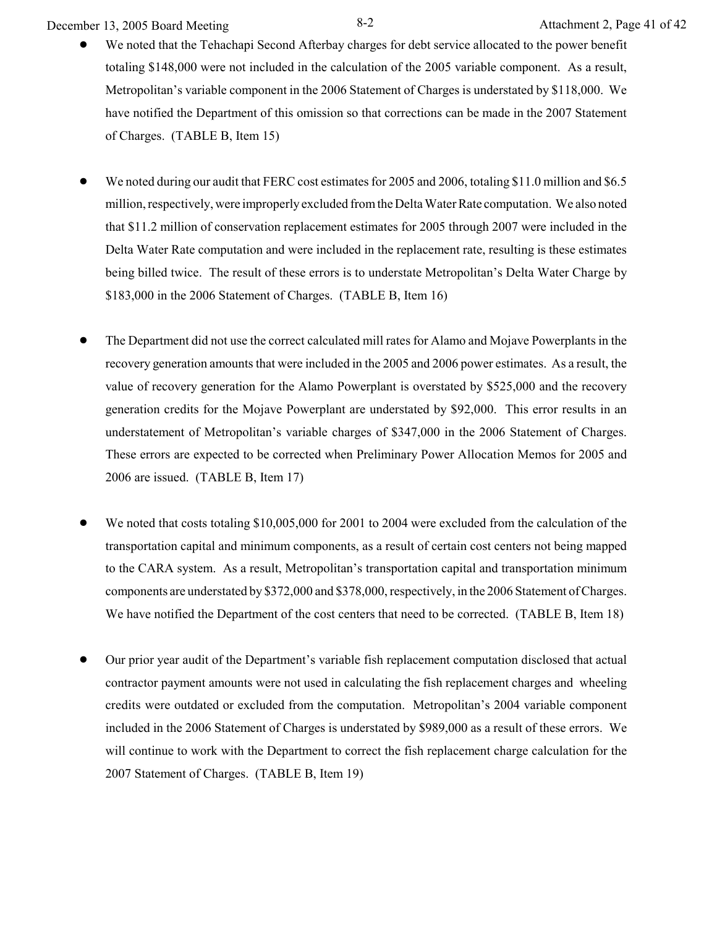December 13, 2005 Board Meeting 8-2 Attachment 2, Page 41 of 42

- We noted that the Tehachapi Second Afterbay charges for debt service allocated to the power benefit totaling \$148,000 were not included in the calculation of the 2005 variable component. As a result, Metropolitan's variable component in the 2006 Statement of Charges is understated by \$118,000. We have notified the Department of this omission so that corrections can be made in the 2007 Statement of Charges. (TABLE B, Item 15)
- We noted during our audit that FERC cost estimates for 2005 and 2006, totaling \$11.0 million and \$6.5 million, respectively, were improperly excluded from the Delta Water Rate computation. We also noted that \$11.2 million of conservation replacement estimates for 2005 through 2007 were included in the Delta Water Rate computation and were included in the replacement rate, resulting is these estimates being billed twice. The result of these errors is to understate Metropolitan's Delta Water Charge by \$183,000 in the 2006 Statement of Charges. (TABLE B, Item 16)
- ! The Department did not use the correct calculated mill rates for Alamo and Mojave Powerplants in the recovery generation amounts that were included in the 2005 and 2006 power estimates. As a result, the value of recovery generation for the Alamo Powerplant is overstated by \$525,000 and the recovery generation credits for the Mojave Powerplant are understated by \$92,000. This error results in an understatement of Metropolitan's variable charges of \$347,000 in the 2006 Statement of Charges. These errors are expected to be corrected when Preliminary Power Allocation Memos for 2005 and 2006 are issued. (TABLE B, Item 17)
- We noted that costs totaling \$10,005,000 for 2001 to 2004 were excluded from the calculation of the transportation capital and minimum components, as a result of certain cost centers not being mapped to the CARA system. As a result, Metropolitan's transportation capital and transportation minimum components are understated by \$372,000 and \$378,000, respectively, in the 2006 Statement of Charges. We have notified the Department of the cost centers that need to be corrected. (TABLE B, Item 18)
- ! Our prior year audit of the Department's variable fish replacement computation disclosed that actual contractor payment amounts were not used in calculating the fish replacement charges and wheeling credits were outdated or excluded from the computation. Metropolitan's 2004 variable component included in the 2006 Statement of Charges is understated by \$989,000 as a result of these errors. We will continue to work with the Department to correct the fish replacement charge calculation for the 2007 Statement of Charges. (TABLE B, Item 19)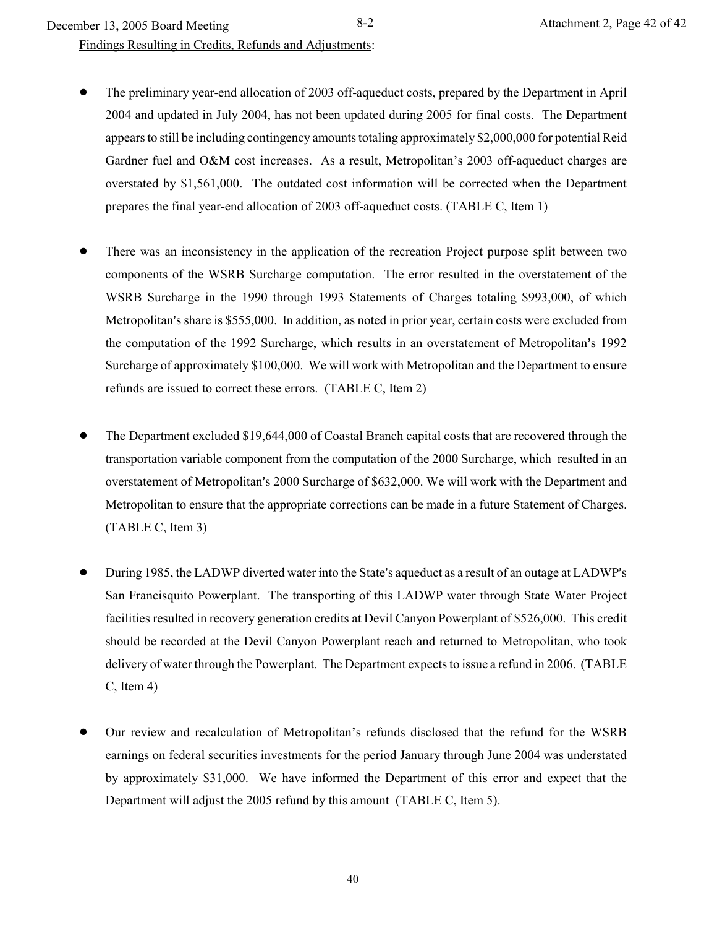December 13, 2005 Board Meeting 8-2 Attachment 2, Page 42 of 42

Findings Resulting in Credits, Refunds and Adjustments:

- ! The preliminary year-end allocation of 2003 off-aqueduct costs, prepared by the Department in April 2004 and updated in July 2004, has not been updated during 2005 for final costs. The Department appears to still be including contingency amounts totaling approximately \$2,000,000 for potential Reid Gardner fuel and O&M cost increases. As a result, Metropolitan's 2003 off-aqueduct charges are overstated by \$1,561,000. The outdated cost information will be corrected when the Department prepares the final year-end allocation of 2003 off-aqueduct costs. (TABLE C, Item 1)
- There was an inconsistency in the application of the recreation Project purpose split between two components of the WSRB Surcharge computation. The error resulted in the overstatement of the WSRB Surcharge in the 1990 through 1993 Statements of Charges totaling \$993,000, of which Metropolitan's share is \$555,000. In addition, as noted in prior year, certain costs were excluded from the computation of the 1992 Surcharge, which results in an overstatement of Metropolitan's 1992 Surcharge of approximately \$100,000. We will work with Metropolitan and the Department to ensure refunds are issued to correct these errors. (TABLE C, Item 2)
- ! The Department excluded \$19,644,000 of Coastal Branch capital costs that are recovered through the transportation variable component from the computation of the 2000 Surcharge, which resulted in an overstatement of Metropolitan's 2000 Surcharge of \$632,000. We will work with the Department and Metropolitan to ensure that the appropriate corrections can be made in a future Statement of Charges. (TABLE C, Item 3)
- During 1985, the LADWP diverted water into the State's aqueduct as a result of an outage at LADWP's San Francisquito Powerplant. The transporting of this LADWP water through State Water Project facilities resulted in recovery generation credits at Devil Canyon Powerplant of \$526,000. This credit should be recorded at the Devil Canyon Powerplant reach and returned to Metropolitan, who took delivery of water through the Powerplant. The Department expects to issue a refund in 2006. (TABLE C, Item 4)
- ! Our review and recalculation of Metropolitan's refunds disclosed that the refund for the WSRB earnings on federal securities investments for the period January through June 2004 was understated by approximately \$31,000. We have informed the Department of this error and expect that the Department will adjust the 2005 refund by this amount (TABLE C, Item 5).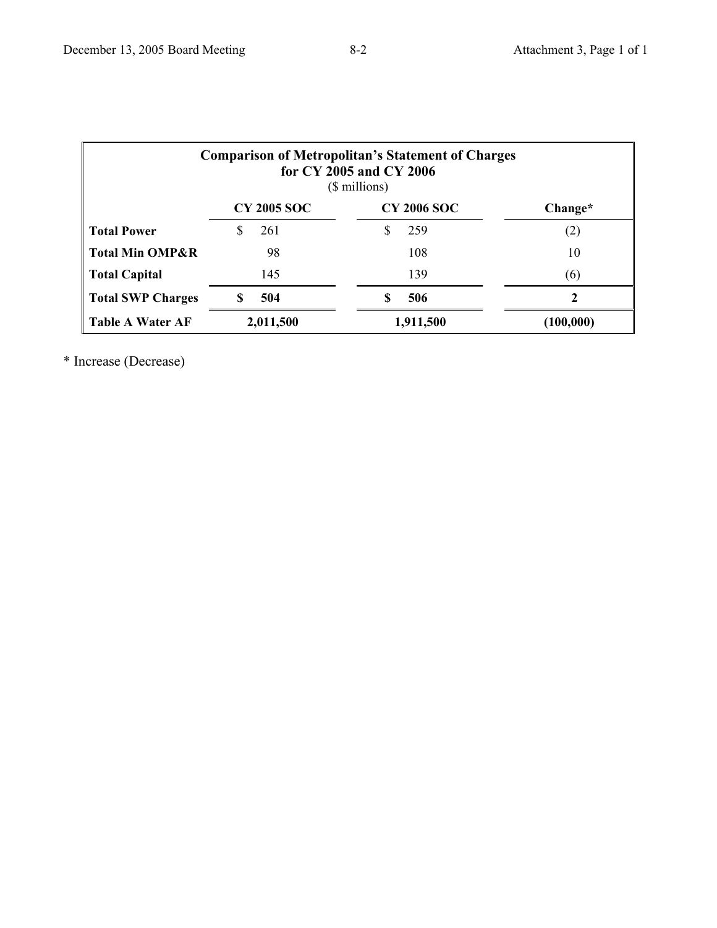| <b>Comparison of Metropolitan's Statement of Charges</b><br>for CY 2005 and CY 2006<br>(\$ millions) |                    |                    |           |  |  |  |
|------------------------------------------------------------------------------------------------------|--------------------|--------------------|-----------|--|--|--|
|                                                                                                      | <b>CY 2005 SOC</b> | <b>CY 2006 SOC</b> | Change*   |  |  |  |
| <b>Total Power</b>                                                                                   | S<br>261           | 259<br>S           | (2)       |  |  |  |
| <b>Total Min OMP&amp;R</b>                                                                           | 98                 | 108                | 10        |  |  |  |
| <b>Total Capital</b>                                                                                 | 145                | 139                | (6)       |  |  |  |
| <b>Total SWP Charges</b>                                                                             | 504<br>S           | 506                | 2         |  |  |  |
| <b>Table A Water AF</b>                                                                              | 2,011,500          | 1,911,500          | (100,000) |  |  |  |

\* Increase (Decrease)